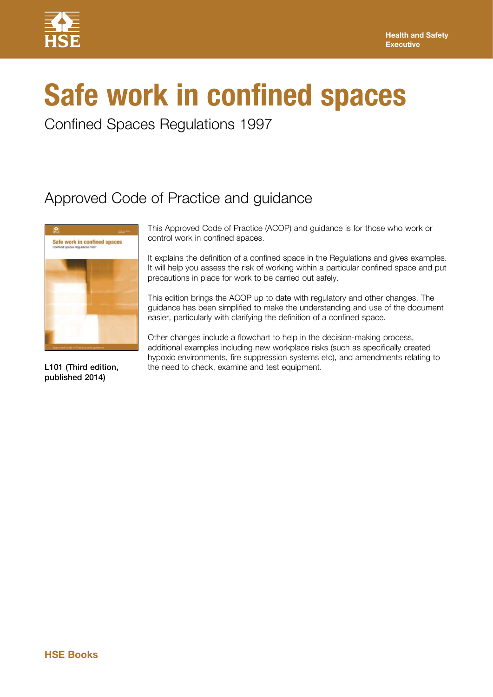

# **Safe work in confined spaces**

Confined Spaces Regulations 1997

# Approved Code of Practice and guidance



L101 (Third edition, published 2014)

This Approved Code of Practice (ACOP) and guidance is for those who work or control work in confined spaces.

It explains the definition of a confined space in the Regulations and gives examples. It will help you assess the risk of working within a particular confined space and put precautions in place for work to be carried out safely.

This edition brings the ACOP up to date with regulatory and other changes. The guidance has been simplified to make the understanding and use of the document easier, particularly with clarifying the definition of a confined space.

Other changes include a flowchart to help in the decision-making process, additional examples including new workplace risks (such as specifically created hypoxic environments, fire suppression systems etc), and amendments relating to the need to check, examine and test equipment.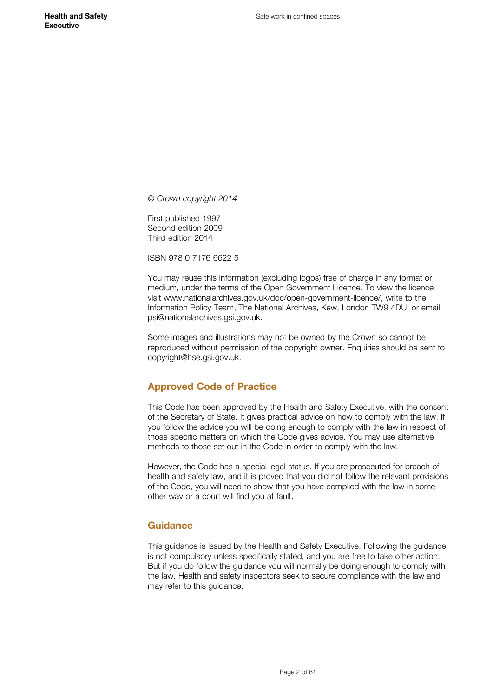© *Crown copyright 2014*

First published 1997 Second edition 2009 Third edition 2014

ISBN 978 0 7176 6622 5

You may reuse this information (excluding logos) free of charge in any format or medium, under the terms of the Open Government Licence. To view the licence visit [www.nationalarchives.gov.uk/doc/open-government-licence/](http://www.nationalarchives.gov.uk/doc/open-government-licence/), write to the Information Policy Team, The National Archives, Kew, London TW9 4DU, or email [psi@nationalarchives.gsi.gov.uk](mailto:psi@nationalarchives.gsi.gov.uk).

Some images and illustrations may not be owned by the Crown so cannot be reproduced without permission of the copyright owner. Enquiries should be sent to [copyright@hse.gsi.gov.uk.](mailto:copyright@hse.gsi.gov.uk)

#### **Approved Code of Practice**

This Code has been approved by the Health and Safety Executive, with the consent of the Secretary of State. It gives practical advice on how to comply with the law. If you follow the advice you will be doing enough to comply with the law in respect of those specific matters on which the Code gives advice. You may use alternative methods to those set out in the Code in order to comply with the law.

However, the Code has a special legal status. If you are prosecuted for breach of health and safety law, and it is proved that you did not follow the relevant provisions of the Code, you will need to show that you have complied with the law in some other way or a court will find you at fault.

#### **Guidance**

This guidance is issued by the Health and Safety Executive. Following the guidance is not compulsory unless specifically stated, and you are free to take other action. But if you do follow the guidance you will normally be doing enough to comply with the law. Health and safety inspectors seek to secure compliance with the law and may refer to this guidance.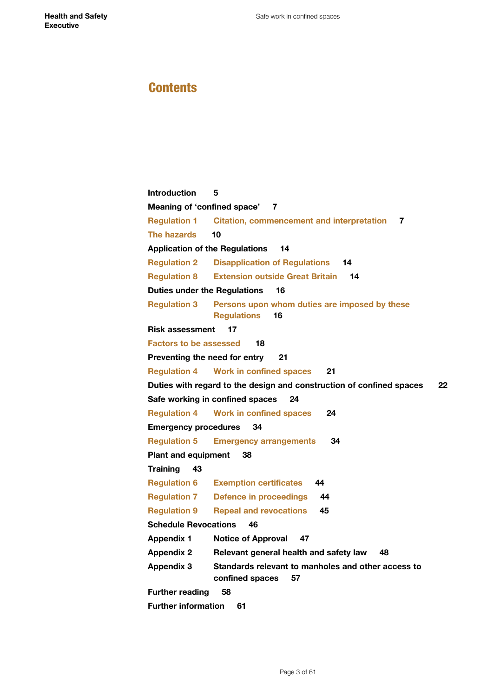### **Contents**

**[Introduction 5](#page-4-0) [Meaning of 'confined space' 7](#page-6-0) [Regulation 1 Citation, commencement and interpretation 7](#page-6-0) [The hazards 10](#page-9-0) [Application of the Regulations 14](#page-13-0) [Regulation 2 Disapplication of Regulations 14](#page-13-0) [Regulation 8 Extension outside Great Britain 14](#page-13-0) [Duties under the Regulations 16](#page-15-0) [Regulation 3 Persons upon whom duties are imposed by these](#page-15-0)   [Regulations 16](#page-15-0) [Risk assessment 17](#page-16-0) [Factors to be assessed 18](#page-17-0) [Preventing the need for entry 21](#page-20-0) [Regulation 4 Work in confined spaces 21](#page-20-0) [Duties with regard to the design and construction of confined spaces 22](#page-21-0) [Safe working in confined spaces 24](#page-23-0) [Regulation 4 Work in confined spaces 24](#page-23-0) [Emergency procedures 34](#page-33-0) [Regulation 5 Emergency arrangements 34](#page-33-0) [Plant and equipment 38](#page-37-0) [Training 43](#page-42-0) [Regulation 6 Exemption certificates 44](#page-43-0) [Regulation 7 Defence in proceedings 44](#page-43-0) [Regulation 9 Repeal and revocations 45](#page-44-0) [Schedule Revocations 46](#page-45-0) [Appendix 1 Notice of Approval 47](#page-46-0) [Appendix 2 Relevant general health and safety law 48](#page-47-0) [Appendix 3 Standards relevant to manholes and other access to](#page-56-0)   [confined spaces 57](#page-56-0) [Further reading 58](#page-57-0) [Further information 61](#page-60-0)**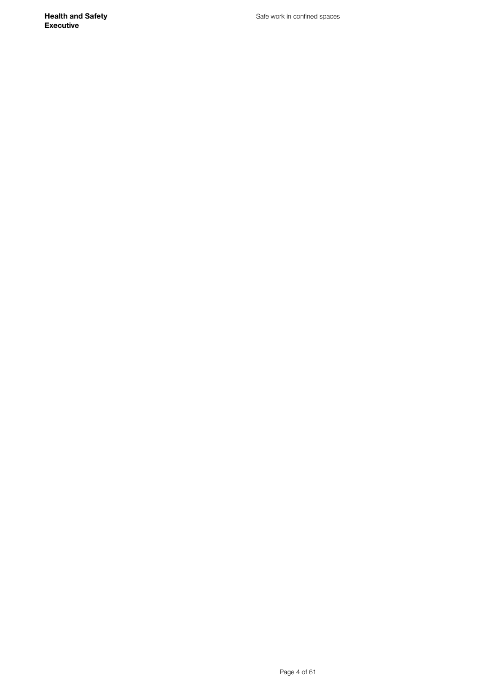**Health and Safety Executive**

Safe work in confined spaces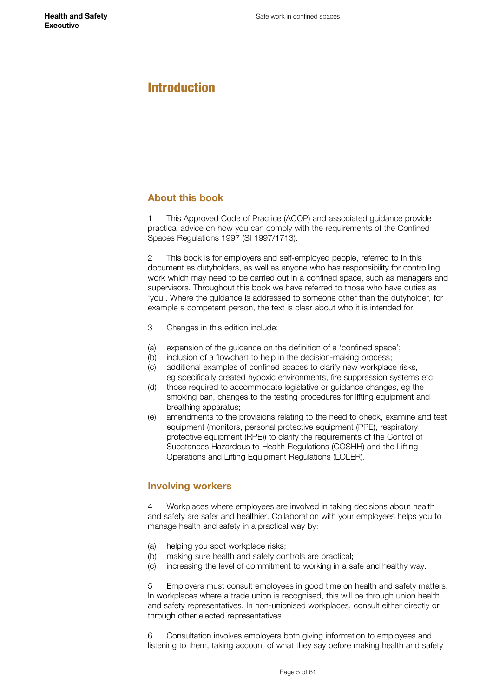### <span id="page-4-0"></span>**Introduction**

#### **About this book**

1 This Approved Code of Practice (ACOP) and associated guidance provide practical advice on how you can comply with the requirements of the Confined Spaces Regulations 1997 (SI 1997/1713).

2 This book is for employers and self-employed people, referred to in this document as dutyholders, as well as anyone who has responsibility for controlling work which may need to be carried out in a confined space, such as managers and supervisors. Throughout this book we have referred to those who have duties as 'you'. Where the guidance is addressed to someone other than the dutyholder, for example a competent person, the text is clear about who it is intended for.

- 3 Changes in this edition include:
- (a) expansion of the guidance on the definition of a 'confined space';
- (b) inclusion of a flowchart to help in the decision-making process;
- (c) additional examples of confined spaces to clarify new workplace risks, eg specifically created hypoxic environments, fire suppression systems etc;
- (d) those required to accommodate legislative or guidance changes, eg the smoking ban, changes to the testing procedures for lifting equipment and breathing apparatus;
- (e) amendments to the provisions relating to the need to check, examine and test equipment (monitors, personal protective equipment (PPE), respiratory protective equipment (RPE)) to clarify the requirements of the Control of Substances Hazardous to Health Regulations (COSHH) and the Lifting Operations and Lifting Equipment Regulations (LOLER).

#### **Involving workers**

4 Workplaces where employees are involved in taking decisions about health and safety are safer and healthier. Collaboration with your employees helps you to manage health and safety in a practical way by:

- (a) helping you spot workplace risks;
- (b) making sure health and safety controls are practical;
- (c) increasing the level of commitment to working in a safe and healthy way.

5 Employers must consult employees in good time on health and safety matters. In workplaces where a trade union is recognised, this will be through union health and safety representatives. In non-unionised workplaces, consult either directly or through other elected representatives.

6 Consultation involves employers both giving information to employees and listening to them, taking account of what they say before making health and safety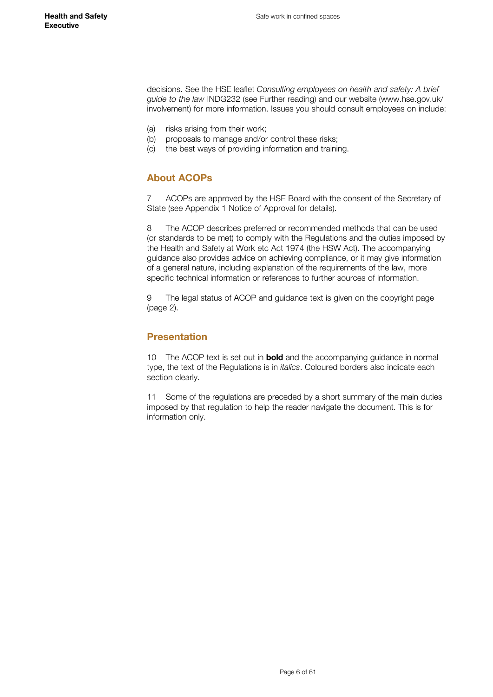decisions. See the HSE leaflet *Consulting employees on health and safety: A brief guide to the law* INDG232 (see Further reading) and our website (www.hse.gov.uk/ involvement) for more information. Issues you should consult employees on include:

- (a) risks arising from their work;
- (b) proposals to manage and/or control these risks;
- (c) the best ways of providing information and training.

#### **About ACOPs**

7 ACOPs are approved by the HSE Board with the consent of the Secretary of State (see Appendix 1 Notice of Approval for details).

8 The ACOP describes preferred or recommended methods that can be used (or standards to be met) to comply with the Regulations and the duties imposed by the Health and Safety at Work etc Act 1974 (the HSW Act). The accompanying guidance also provides advice on achieving compliance, or it may give information of a general nature, including explanation of the requirements of the law, more specific technical information or references to further sources of information.

9 The legal status of ACOP and guidance text is given on the copyright page (page 2).

#### **Presentation**

10 The ACOP text is set out in **bold** and the accompanying guidance in normal type, the text of the Regulations is in *italics*. Coloured borders also indicate each section clearly.

11 Some of the regulations are preceded by a short summary of the main duties imposed by that regulation to help the reader navigate the document. This is for information only.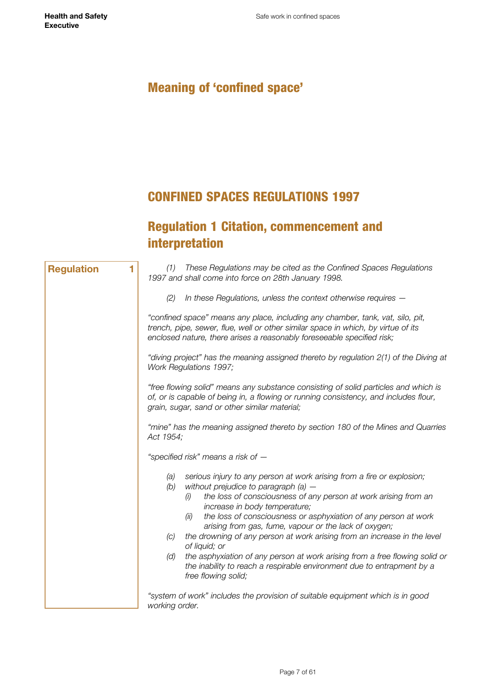# <span id="page-6-0"></span>Meaning of 'confined space'

### CONFINED SPACES REGULATIONS 1997

# Regulation 1 Citation, commencement and interpretation

| 1<br><b>Regulation</b> | These Regulations may be cited as the Confined Spaces Regulations<br>(1)<br>1997 and shall come into force on 28th January 1998.                                                                                                                                                                                                                                                                                                                                                                                                                                        |
|------------------------|-------------------------------------------------------------------------------------------------------------------------------------------------------------------------------------------------------------------------------------------------------------------------------------------------------------------------------------------------------------------------------------------------------------------------------------------------------------------------------------------------------------------------------------------------------------------------|
|                        | (2)<br>In these Regulations, unless the context otherwise requires -                                                                                                                                                                                                                                                                                                                                                                                                                                                                                                    |
|                        | "confined space" means any place, including any chamber, tank, vat, silo, pit,<br>trench, pipe, sewer, flue, well or other similar space in which, by virtue of its<br>enclosed nature, there arises a reasonably foreseeable specified risk;                                                                                                                                                                                                                                                                                                                           |
|                        | "diving project" has the meaning assigned thereto by regulation 2(1) of the Diving at<br>Work Regulations 1997;                                                                                                                                                                                                                                                                                                                                                                                                                                                         |
|                        | "free flowing solid" means any substance consisting of solid particles and which is<br>of, or is capable of being in, a flowing or running consistency, and includes flour,<br>grain, sugar, sand or other similar material;                                                                                                                                                                                                                                                                                                                                            |
|                        | "mine" has the meaning assigned thereto by section 180 of the Mines and Quarries<br>Act 1954;                                                                                                                                                                                                                                                                                                                                                                                                                                                                           |
|                        | "specified risk" means a risk of $-$                                                                                                                                                                                                                                                                                                                                                                                                                                                                                                                                    |
|                        | serious injury to any person at work arising from a fire or explosion;<br>(a)<br>(b)<br>without prejudice to paragraph $(a)$ -<br>the loss of consciousness of any person at work arising from an<br>(i)<br>increase in body temperature;<br>the loss of consciousness or asphyxiation of any person at work<br>(ii)<br>arising from gas, fume, vapour or the lack of oxygen;<br>the drowning of any person at work arising from an increase in the level<br>(C)<br>of liquid; or<br>the asphyxiation of any person at work arising from a free flowing solid or<br>(d) |
|                        | the inability to reach a respirable environment due to entrapment by a<br>free flowing solid;                                                                                                                                                                                                                                                                                                                                                                                                                                                                           |
|                        | "system of work" includes the provision of suitable equipment which is in good<br>working order.                                                                                                                                                                                                                                                                                                                                                                                                                                                                        |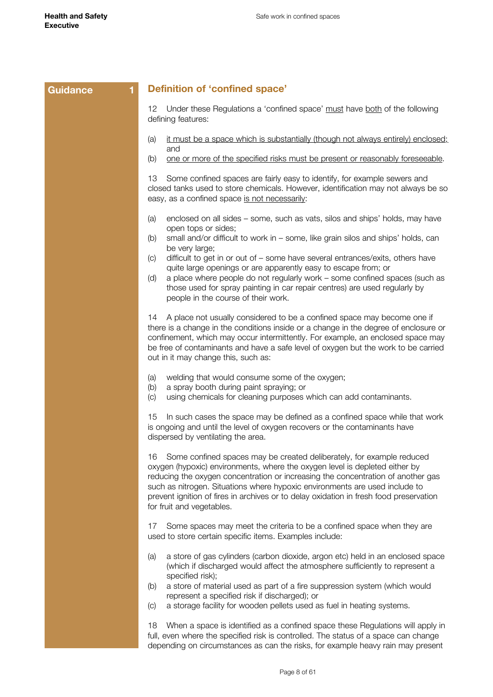| <b>Guidance</b><br>1 | <b>Definition of 'confined space'</b>                                                                                                                                                                                                                                                                                                                                                                                                                                                                                                                                                        |
|----------------------|----------------------------------------------------------------------------------------------------------------------------------------------------------------------------------------------------------------------------------------------------------------------------------------------------------------------------------------------------------------------------------------------------------------------------------------------------------------------------------------------------------------------------------------------------------------------------------------------|
|                      | Under these Regulations a 'confined space' must have both of the following<br>12<br>defining features:                                                                                                                                                                                                                                                                                                                                                                                                                                                                                       |
|                      | it must be a space which is substantially (though not always entirely) enclosed;<br>(a)<br>and                                                                                                                                                                                                                                                                                                                                                                                                                                                                                               |
|                      | one or more of the specified risks must be present or reasonably foreseeable.<br>(b)                                                                                                                                                                                                                                                                                                                                                                                                                                                                                                         |
|                      | Some confined spaces are fairly easy to identify, for example sewers and<br>13<br>closed tanks used to store chemicals. However, identification may not always be so<br>easy, as a confined space is not necessarily:                                                                                                                                                                                                                                                                                                                                                                        |
|                      | enclosed on all sides – some, such as vats, silos and ships' holds, may have<br>(a)<br>open tops or sides;<br>small and/or difficult to work in – some, like grain silos and ships' holds, can<br>(b)<br>be very large;<br>difficult to get in or out of - some have several entrances/exits, others have<br>(C)<br>quite large openings or are apparently easy to escape from; or<br>a place where people do not regularly work - some confined spaces (such as<br>(d)<br>those used for spray painting in car repair centres) are used regularly by<br>people in the course of their work. |
|                      | A place not usually considered to be a confined space may become one if<br>14<br>there is a change in the conditions inside or a change in the degree of enclosure or<br>confinement, which may occur intermittently. For example, an enclosed space may<br>be free of contaminants and have a safe level of oxygen but the work to be carried<br>out in it may change this, such as:                                                                                                                                                                                                        |
|                      | welding that would consume some of the oxygen;<br>(a)<br>a spray booth during paint spraying; or<br>(b)                                                                                                                                                                                                                                                                                                                                                                                                                                                                                      |
|                      | (C)<br>using chemicals for cleaning purposes which can add contaminants.                                                                                                                                                                                                                                                                                                                                                                                                                                                                                                                     |
|                      | In such cases the space may be defined as a confined space while that work<br>15<br>is ongoing and until the level of oxygen recovers or the contaminants have<br>dispersed by ventilating the area.                                                                                                                                                                                                                                                                                                                                                                                         |
|                      | 16 Some confined spaces may be created deliberately, for example reduced<br>oxygen (hypoxic) environments, where the oxygen level is depleted either by<br>reducing the oxygen concentration or increasing the concentration of another gas<br>such as nitrogen. Situations where hypoxic environments are used include to<br>prevent ignition of fires in archives or to delay oxidation in fresh food preservation<br>for fruit and vegetables.                                                                                                                                            |
|                      | Some spaces may meet the criteria to be a confined space when they are<br>17<br>used to store certain specific items. Examples include:                                                                                                                                                                                                                                                                                                                                                                                                                                                      |
|                      | a store of gas cylinders (carbon dioxide, argon etc) held in an enclosed space<br>(a)<br>(which if discharged would affect the atmosphere sufficiently to represent a<br>specified risk);<br>a store of material used as part of a fire suppression system (which would<br>(b)<br>represent a specified risk if discharged); or<br>a storage facility for wooden pellets used as fuel in heating systems.<br>(C)                                                                                                                                                                             |
|                      | When a space is identified as a confined space these Regulations will apply in<br>18<br>full, even where the specified risk is controlled. The status of a space can change<br>depending on circumstances as can the risks, for example heavy rain may present                                                                                                                                                                                                                                                                                                                               |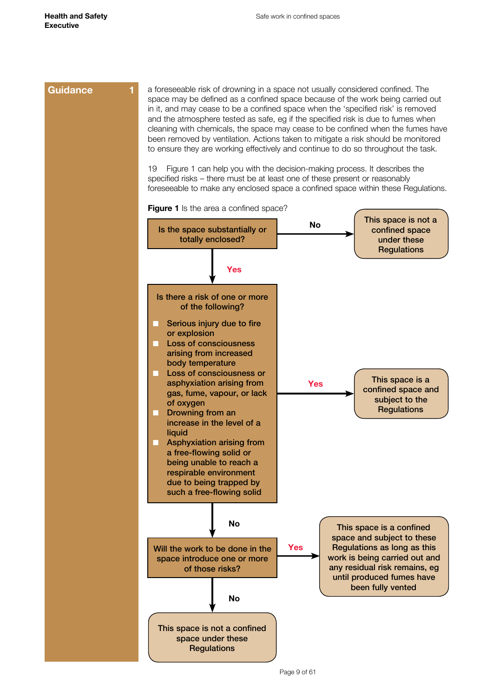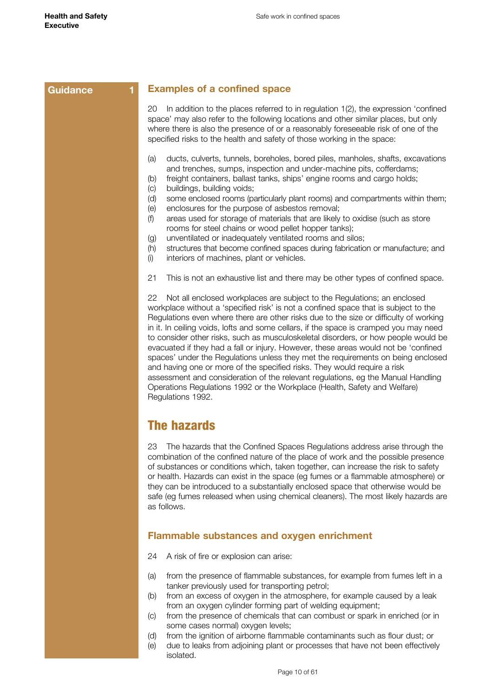<span id="page-9-0"></span>

| 1<br><b>Guidance</b> | <b>Examples of a confined space</b>                                                                                                                                                                                                                                                                                                                                                                                                                                                                                                                                                                                                                                                                                                                                                                                                                                                       |
|----------------------|-------------------------------------------------------------------------------------------------------------------------------------------------------------------------------------------------------------------------------------------------------------------------------------------------------------------------------------------------------------------------------------------------------------------------------------------------------------------------------------------------------------------------------------------------------------------------------------------------------------------------------------------------------------------------------------------------------------------------------------------------------------------------------------------------------------------------------------------------------------------------------------------|
|                      | In addition to the places referred to in regulation $1(2)$ , the expression 'confined<br>20<br>space' may also refer to the following locations and other similar places, but only<br>where there is also the presence of or a reasonably foreseeable risk of one of the<br>specified risks to the health and safety of those working in the space:                                                                                                                                                                                                                                                                                                                                                                                                                                                                                                                                       |
|                      | ducts, culverts, tunnels, boreholes, bored piles, manholes, shafts, excavations<br>(a)<br>and trenches, sumps, inspection and under-machine pits, cofferdams;<br>freight containers, ballast tanks, ships' engine rooms and cargo holds;<br>(b)<br>(c)<br>buildings, building voids;<br>(d)<br>some enclosed rooms (particularly plant rooms) and compartments within them;                                                                                                                                                                                                                                                                                                                                                                                                                                                                                                               |
|                      | (e)<br>enclosures for the purpose of asbestos removal;<br>(f)<br>areas used for storage of materials that are likely to oxidise (such as store<br>rooms for steel chains or wood pellet hopper tanks);<br>(g)<br>unventilated or inadequately ventilated rooms and silos;<br>(h)<br>structures that become confined spaces during fabrication or manufacture; and<br>(i)<br>interiors of machines, plant or vehicles.                                                                                                                                                                                                                                                                                                                                                                                                                                                                     |
|                      | 21<br>This is not an exhaustive list and there may be other types of confined space.                                                                                                                                                                                                                                                                                                                                                                                                                                                                                                                                                                                                                                                                                                                                                                                                      |
|                      | Not all enclosed workplaces are subject to the Regulations; an enclosed<br>22<br>workplace without a 'specified risk' is not a confined space that is subject to the<br>Regulations even where there are other risks due to the size or difficulty of working<br>in it. In ceiling voids, lofts and some cellars, if the space is cramped you may need<br>to consider other risks, such as musculoskeletal disorders, or how people would be<br>evacuated if they had a fall or injury. However, these areas would not be 'confined<br>spaces' under the Regulations unless they met the requirements on being enclosed<br>and having one or more of the specified risks. They would require a risk<br>assessment and consideration of the relevant regulations, eg the Manual Handling<br>Operations Regulations 1992 or the Workplace (Health, Safety and Welfare)<br>Regulations 1992. |
|                      | <b>The hazards</b>                                                                                                                                                                                                                                                                                                                                                                                                                                                                                                                                                                                                                                                                                                                                                                                                                                                                        |
|                      | The hazards that the Confined Spaces Regulations address arise through the<br>23<br>combination of the confined nature of the place of work and the possible presence<br>of substances or conditions which, taken together, can increase the risk to safety<br>or health. Hazards can exist in the space (eg fumes or a flammable atmosphere) or<br>they can be introduced to a substantially enclosed space that otherwise would be<br>safe (eg fumes released when using chemical cleaners). The most likely hazards are<br>as follows.                                                                                                                                                                                                                                                                                                                                                 |
|                      | <b>Flammable substances and oxygen enrichment</b>                                                                                                                                                                                                                                                                                                                                                                                                                                                                                                                                                                                                                                                                                                                                                                                                                                         |
|                      | A risk of fire or explosion can arise:<br>24                                                                                                                                                                                                                                                                                                                                                                                                                                                                                                                                                                                                                                                                                                                                                                                                                                              |

- (a) from the presence of flammable substances, for example from fumes left in a tanker previously used for transporting petrol;
- (b) from an excess of oxygen in the atmosphere, for example caused by a leak from an oxygen cylinder forming part of welding equipment;
- (c) from the presence of chemicals that can combust or spark in enriched (or in some cases normal) oxygen levels;
- (d) from the ignition of airborne flammable contaminants such as flour dust; or
- (e) due to leaks from adjoining plant or processes that have not been effectively isolated.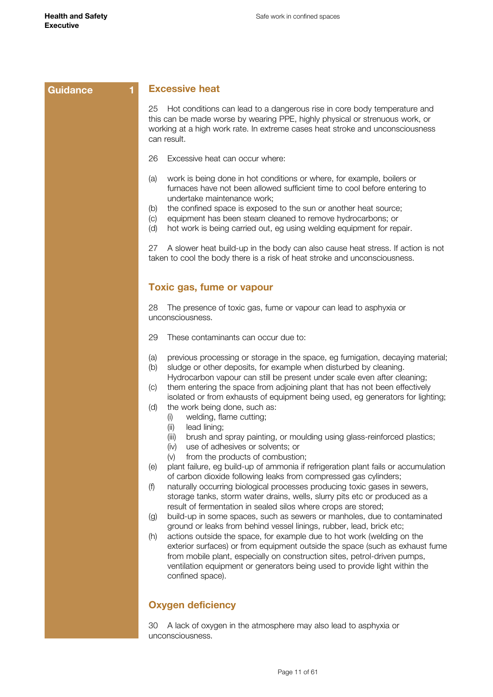| 1<br>Guidance | <b>Excessive heat</b>                                                                                                                                                                                                                                                                                                                                                                                                                                                                                                                                                                                                                                                                                                                                                                                                                                                                                                                                                                                                                                                                                                                                                                                                                                            |
|---------------|------------------------------------------------------------------------------------------------------------------------------------------------------------------------------------------------------------------------------------------------------------------------------------------------------------------------------------------------------------------------------------------------------------------------------------------------------------------------------------------------------------------------------------------------------------------------------------------------------------------------------------------------------------------------------------------------------------------------------------------------------------------------------------------------------------------------------------------------------------------------------------------------------------------------------------------------------------------------------------------------------------------------------------------------------------------------------------------------------------------------------------------------------------------------------------------------------------------------------------------------------------------|
|               | Hot conditions can lead to a dangerous rise in core body temperature and<br>25<br>this can be made worse by wearing PPE, highly physical or strenuous work, or<br>working at a high work rate. In extreme cases heat stroke and unconsciousness<br>can result.                                                                                                                                                                                                                                                                                                                                                                                                                                                                                                                                                                                                                                                                                                                                                                                                                                                                                                                                                                                                   |
|               | 26<br>Excessive heat can occur where:                                                                                                                                                                                                                                                                                                                                                                                                                                                                                                                                                                                                                                                                                                                                                                                                                                                                                                                                                                                                                                                                                                                                                                                                                            |
|               | work is being done in hot conditions or where, for example, boilers or<br>(a)<br>furnaces have not been allowed sufficient time to cool before entering to<br>undertake maintenance work;<br>the confined space is exposed to the sun or another heat source;<br>(b)<br>equipment has been steam cleaned to remove hydrocarbons; or<br>(C)<br>(d)<br>hot work is being carried out, eg using welding equipment for repair.<br>27<br>A slower heat build-up in the body can also cause heat stress. If action is not                                                                                                                                                                                                                                                                                                                                                                                                                                                                                                                                                                                                                                                                                                                                              |
|               | taken to cool the body there is a risk of heat stroke and unconsciousness.                                                                                                                                                                                                                                                                                                                                                                                                                                                                                                                                                                                                                                                                                                                                                                                                                                                                                                                                                                                                                                                                                                                                                                                       |
|               | <b>Toxic gas, fume or vapour</b>                                                                                                                                                                                                                                                                                                                                                                                                                                                                                                                                                                                                                                                                                                                                                                                                                                                                                                                                                                                                                                                                                                                                                                                                                                 |
|               | 28<br>The presence of toxic gas, fume or vapour can lead to asphyxia or<br>unconsciousness.                                                                                                                                                                                                                                                                                                                                                                                                                                                                                                                                                                                                                                                                                                                                                                                                                                                                                                                                                                                                                                                                                                                                                                      |
|               | 29<br>These contaminants can occur due to:                                                                                                                                                                                                                                                                                                                                                                                                                                                                                                                                                                                                                                                                                                                                                                                                                                                                                                                                                                                                                                                                                                                                                                                                                       |
|               | previous processing or storage in the space, eg fumigation, decaying material;<br>(a)<br>sludge or other deposits, for example when disturbed by cleaning.<br>(b)<br>Hydrocarbon vapour can still be present under scale even after cleaning;<br>them entering the space from adjoining plant that has not been effectively<br>(C)<br>isolated or from exhausts of equipment being used, eg generators for lighting;<br>(d)<br>the work being done, such as:<br>welding, flame cutting;<br>(i)<br>lead lining;<br>(ii)<br>brush and spray painting, or moulding using glass-reinforced plastics;<br>(iii)<br>(iv)<br>use of adhesives or solvents; or<br>from the products of combustion;<br>(v)<br>plant failure, eg build-up of ammonia if refrigeration plant fails or accumulation<br>(e)<br>of carbon dioxide following leaks from compressed gas cylinders;<br>(f)<br>naturally occurring biological processes producing toxic gases in sewers,<br>storage tanks, storm water drains, wells, slurry pits etc or produced as a<br>result of fermentation in sealed silos where crops are stored;<br>build-up in some spaces, such as sewers or manholes, due to contaminated<br>(g)<br>ground or leaks from behind vessel linings, rubber, lead, brick etc; |
|               | actions outside the space, for example due to hot work (welding on the<br>(h)<br>exterior surfaces) or from equipment outside the space (such as exhaust fume<br>from mobile plant, especially on construction sites, petrol-driven pumps,<br>ventilation equipment or generators being used to provide light within the<br>confined space).                                                                                                                                                                                                                                                                                                                                                                                                                                                                                                                                                                                                                                                                                                                                                                                                                                                                                                                     |
|               | <b>Oxygen deficiency</b>                                                                                                                                                                                                                                                                                                                                                                                                                                                                                                                                                                                                                                                                                                                                                                                                                                                                                                                                                                                                                                                                                                                                                                                                                                         |
|               | A lack of oxygen in the atmosphere may also lead to asphyxia or<br>30                                                                                                                                                                                                                                                                                                                                                                                                                                                                                                                                                                                                                                                                                                                                                                                                                                                                                                                                                                                                                                                                                                                                                                                            |

unconsciousness.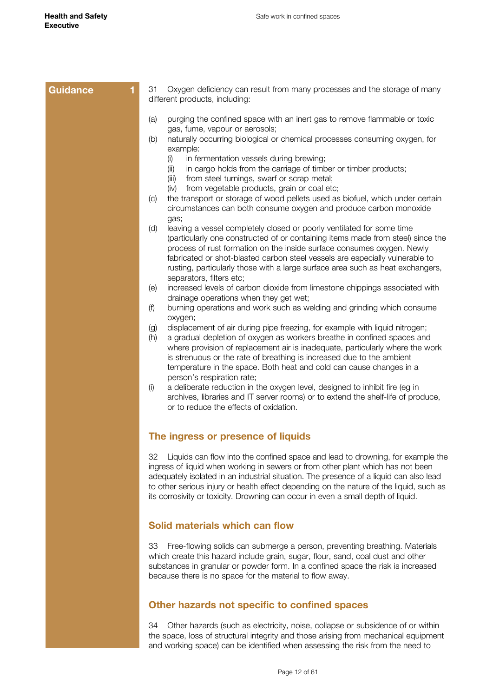| <b>Guidance</b><br>1 | Oxygen deficiency can result from many processes and the storage of many<br>31<br>different products, including:                                                                                                                                                                                                                                                                                                                                 |
|----------------------|--------------------------------------------------------------------------------------------------------------------------------------------------------------------------------------------------------------------------------------------------------------------------------------------------------------------------------------------------------------------------------------------------------------------------------------------------|
|                      | (a)<br>purging the confined space with an inert gas to remove flammable or toxic<br>gas, fume, vapour or aerosols;<br>(b)<br>naturally occurring biological or chemical processes consuming oxygen, for                                                                                                                                                                                                                                          |
|                      | example:<br>(i)<br>in fermentation vessels during brewing;                                                                                                                                                                                                                                                                                                                                                                                       |
|                      | in cargo holds from the carriage of timber or timber products;<br>(ii)<br>from steel turnings, swarf or scrap metal;<br>(iii)<br>from vegetable products, grain or coal etc;<br>(iv)                                                                                                                                                                                                                                                             |
|                      | the transport or storage of wood pellets used as biofuel, which under certain<br>(C)<br>circumstances can both consume oxygen and produce carbon monoxide<br>gas;                                                                                                                                                                                                                                                                                |
|                      | leaving a vessel completely closed or poorly ventilated for some time<br>(d)<br>(particularly one constructed of or containing items made from steel) since the<br>process of rust formation on the inside surface consumes oxygen. Newly<br>fabricated or shot-blasted carbon steel vessels are especially vulnerable to<br>rusting, particularly those with a large surface area such as heat exchangers,<br>separators, filters etc;          |
|                      | increased levels of carbon dioxide from limestone chippings associated with<br>(e)<br>drainage operations when they get wet;                                                                                                                                                                                                                                                                                                                     |
|                      | burning operations and work such as welding and grinding which consume<br>(f)<br>oxygen;                                                                                                                                                                                                                                                                                                                                                         |
|                      | displacement of air during pipe freezing, for example with liquid nitrogen;<br>(g)<br>(h)<br>a gradual depletion of oxygen as workers breathe in confined spaces and<br>where provision of replacement air is inadequate, particularly where the work<br>is strenuous or the rate of breathing is increased due to the ambient<br>temperature in the space. Both heat and cold can cause changes in a<br>person's respiration rate;              |
|                      | (i)<br>a deliberate reduction in the oxygen level, designed to inhibit fire (eg in<br>archives, libraries and IT server rooms) or to extend the shelf-life of produce,<br>or to reduce the effects of oxidation.                                                                                                                                                                                                                                 |
|                      | The ingress or presence of liquids                                                                                                                                                                                                                                                                                                                                                                                                               |
|                      | Liquids can flow into the confined space and lead to drowning, for example the<br>32<br>ingress of liquid when working in sewers or from other plant which has not been<br>adequately isolated in an industrial situation. The presence of a liquid can also lead<br>to other serious injury or health effect depending on the nature of the liquid, such as<br>its corrosivity or toxicity. Drowning can occur in even a small depth of liquid. |

#### **Solid materials which can flow**

33 Free-flowing solids can submerge a person, preventing breathing. Materials which create this hazard include grain, sugar, flour, sand, coal dust and other substances in granular or powder form. In a confined space the risk is increased because there is no space for the material to flow away.

#### **Other hazards not specific to confined spaces**

34 Other hazards (such as electricity, noise, collapse or subsidence of or within the space, loss of structural integrity and those arising from mechanical equipment and working space) can be identified when assessing the risk from the need to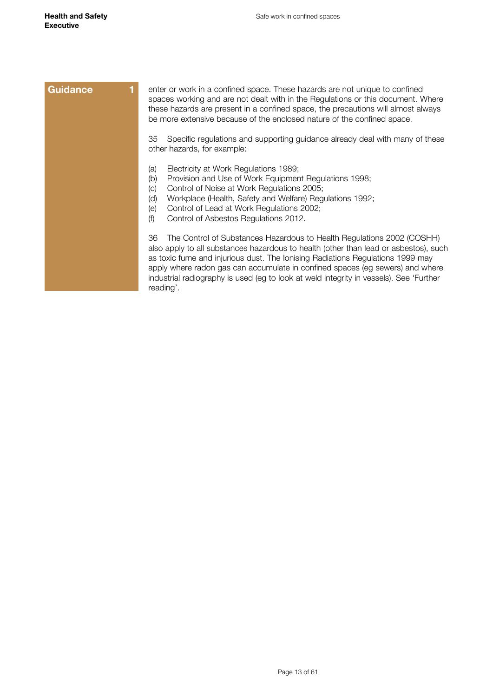| <b>Guidance</b> | enter or work in a confined space. These hazards are not unique to confined<br>spaces working and are not dealt with in the Regulations or this document. Where<br>these hazards are present in a confined space, the precautions will almost always<br>be more extensive because of the enclosed nature of the confined space.                                                                                                                |
|-----------------|------------------------------------------------------------------------------------------------------------------------------------------------------------------------------------------------------------------------------------------------------------------------------------------------------------------------------------------------------------------------------------------------------------------------------------------------|
|                 | Specific regulations and supporting guidance already deal with many of these<br>35<br>other hazards, for example:                                                                                                                                                                                                                                                                                                                              |
|                 | Electricity at Work Regulations 1989;<br>(a)<br>Provision and Use of Work Equipment Regulations 1998;<br>(b)<br>Control of Noise at Work Regulations 2005;<br>(c)<br>Workplace (Health, Safety and Welfare) Regulations 1992;<br>(d)<br>Control of Lead at Work Regulations 2002;<br>(e)<br>(f)<br>Control of Asbestos Regulations 2012.                                                                                                       |
|                 | The Control of Substances Hazardous to Health Regulations 2002 (COSHH)<br>36<br>also apply to all substances hazardous to health (other than lead or asbestos), such<br>as toxic fume and injurious dust. The Ionising Radiations Regulations 1999 may<br>apply where radon gas can accumulate in confined spaces (eg sewers) and where<br>industrial radiography is used (eg to look at weld integrity in vessels). See 'Further<br>reading'. |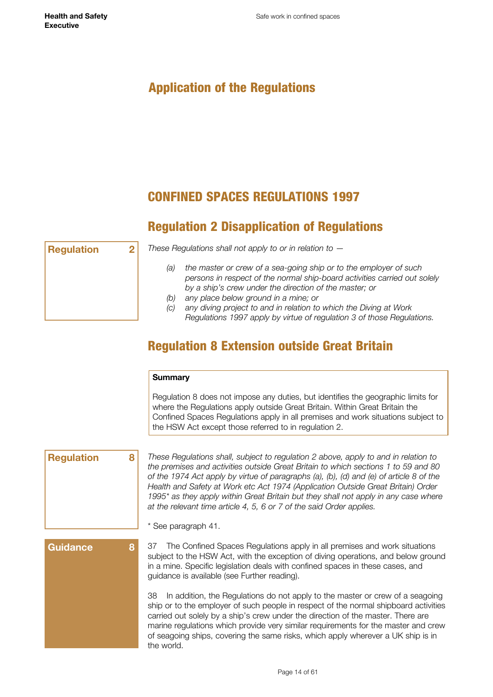# <span id="page-13-0"></span>Application of the Regulations

### CONFINED SPACES REGIII ATIONS 1997

### Regulation 2 Disapplication of Regulations

**Regulation 2**

*These Regulations shall not apply to or in relation to —*

- *(a) the master or crew of a sea-going ship or to the employer of such persons in respect of the normal ship-board activities carried out solely by a ship's crew under the direction of the master; or*
- *(b) any place below ground in a mine; or*
- *(c) any diving project to and in relation to which the Diving at Work Regulations 1997 apply by virtue of regulation 3 of those Regulations.*

# Regulation 8 Extension outside Great Britain

#### **Summary**

Regulation 8 does not impose any duties, but identifies the geographic limits for where the Regulations apply outside Great Britain. Within Great Britain the Confined Spaces Regulations apply in all premises and work situations subject to the HSW Act except those referred to in regulation 2.

*These Regulations shall, subject to regulation 2 above, apply to and in relation to the premises and activities outside Great Britain to which sections 1 to 59 and 80 of the 1974 Act apply by virtue of paragraphs (a), (b), (d) and (e) of article 8 of the Health and Safety at Work etc Act 1974 (Application Outside Great Britain) Order 1995\* as they apply within Great Britain but they shall not apply in any case where at the relevant time article 4, 5, 6 or 7 of the said Order applies.* \* See paragraph 41. 37 The Confined Spaces Regulations apply in all premises and work situations subject to the HSW Act, with the exception of diving operations, and below ground in a mine. Specific legislation deals with confined spaces in these cases, and guidance is available (see Further reading). **Regulation 8 Guidance 8**

38 In addition, the Regulations do not apply to the master or crew of a seagoing ship or to the employer of such people in respect of the normal shipboard activities carried out solely by a ship's crew under the direction of the master. There are marine regulations which provide very similar requirements for the master and crew of seagoing ships, covering the same risks, which apply wherever a UK ship is in the world.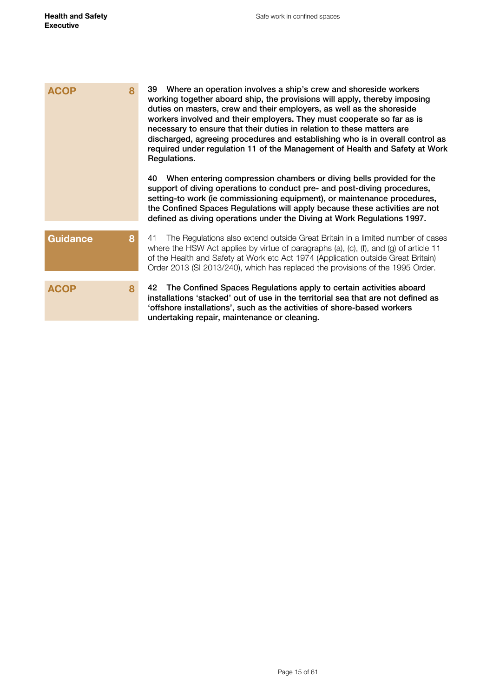| 8<br><b>ACOP</b>     | Where an operation involves a ship's crew and shoreside workers<br>39<br>working together aboard ship, the provisions will apply, thereby imposing<br>duties on masters, crew and their employers, as well as the shoreside<br>workers involved and their employers. They must cooperate so far as is<br>necessary to ensure that their duties in relation to these matters are<br>discharged, agreeing procedures and establishing who is in overall control as<br>required under regulation 11 of the Management of Health and Safety at Work<br>Regulations.<br>When entering compression chambers or diving bells provided for the<br>40<br>support of diving operations to conduct pre- and post-diving procedures,<br>setting-to work (ie commissioning equipment), or maintenance procedures,<br>the Confined Spaces Regulations will apply because these activities are not<br>defined as diving operations under the Diving at Work Regulations 1997. |
|----------------------|----------------------------------------------------------------------------------------------------------------------------------------------------------------------------------------------------------------------------------------------------------------------------------------------------------------------------------------------------------------------------------------------------------------------------------------------------------------------------------------------------------------------------------------------------------------------------------------------------------------------------------------------------------------------------------------------------------------------------------------------------------------------------------------------------------------------------------------------------------------------------------------------------------------------------------------------------------------|
| <b>Guidance</b><br>8 | The Regulations also extend outside Great Britain in a limited number of cases<br>41<br>where the HSW Act applies by virtue of paragraphs (a), (c), (f), and (g) of article 11<br>of the Health and Safety at Work etc Act 1974 (Application outside Great Britain)<br>Order 2013 (SI 2013/240), which has replaced the provisions of the 1995 Order.                                                                                                                                                                                                                                                                                                                                                                                                                                                                                                                                                                                                          |
| <b>ACOP</b><br>8     | The Confined Spaces Regulations apply to certain activities aboard<br>42<br>installations 'stacked' out of use in the territorial sea that are not defined as<br>'offshore installations', such as the activities of shore-based workers<br>undertaking repair, maintenance or cleaning.                                                                                                                                                                                                                                                                                                                                                                                                                                                                                                                                                                                                                                                                       |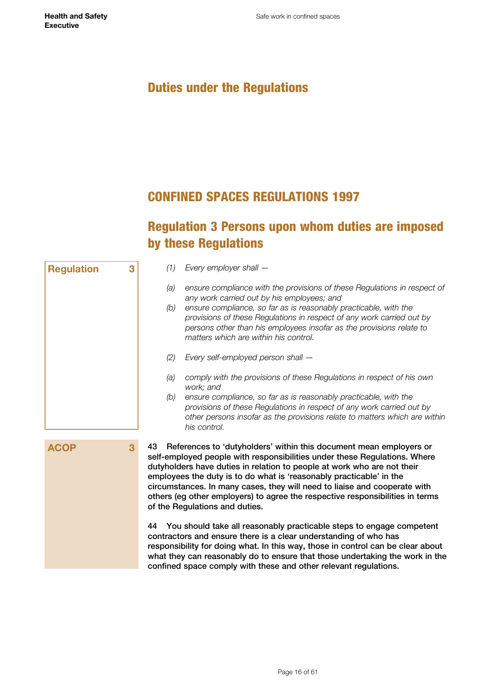### <span id="page-15-0"></span>Duties under the Regulations

### CONFINED SPACES REGIII ATIONS 1997

### Regulation 3 Persons upon whom duties are imposed by these Regulations

| <b>Regulation</b> | 3 |
|-------------------|---|
|                   |   |
|                   |   |
|                   |   |
|                   |   |
|                   |   |
|                   |   |

- *(1) Every employer shall*
- *(a) ensure compliance with the provisions of these Regulations in respect of any work carried out by his employees; and*
- *(b) ensure compliance, so far as is reasonably practicable, with the provisions of these Regulations in respect of any work carried out by persons other than his employees insofar as the provisions relate to matters which are within his control.*
- *(2) Every self-employed person shall*
- *(a) comply with the provisions of these Regulations in respect of his own work; and*
- *(b) ensure compliance, so far as is reasonably practicable, with the provisions of these Regulations in respect of any work carried out by other persons insofar as the provisions relate to matters which are within his control.*

| <b>ACOP</b> | 3 | 4 |
|-------------|---|---|
|             |   | S |
|             |   | d |
|             |   | e |
|             |   | c |
|             |   | O |
|             |   | O |
|             |   |   |
|             |   | 4 |
|             |   | C |
|             |   | r |
|             |   | W |

43 References to 'dutyholders' within this document mean employers or elf-employed people with responsibilities under these Regulations. Where utyholders have duties in relation to people at work who are not their mployees the duty is to do what is 'reasonably practicable' in the ircumstances. In many cases, they will need to liaise and cooperate with thers (eg other employers) to agree the respective responsibilities in terms f the Regulations and duties.

44 You should take all reasonably practicable steps to engage competent contractors and ensure there is a clear understanding of who has esponsibility for doing what. In this way, those in control can be clear about what they can reasonably do to ensure that those undertaking the work in the confined space comply with these and other relevant regulations.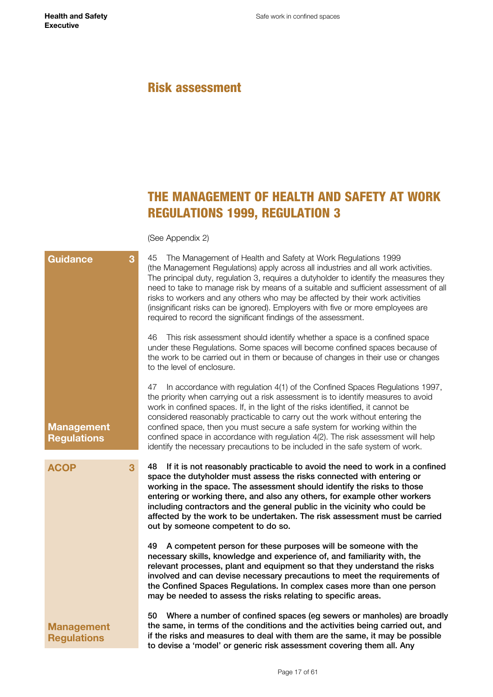### <span id="page-16-0"></span>Risk assessment

# THE MANAGEMENT OF HEALTH AND SAFETY AT WORK REGULATIONS 1999, REGULATION 3

(See Appendix 2)

| <b>Guidance</b><br>3                    | The Management of Health and Safety at Work Regulations 1999<br>45<br>(the Management Regulations) apply across all industries and all work activities.<br>The principal duty, regulation 3, requires a dutyholder to identify the measures they<br>need to take to manage risk by means of a suitable and sufficient assessment of all<br>risks to workers and any others who may be affected by their work activities<br>(insignificant risks can be ignored). Employers with five or more employees are<br>required to record the significant findings of the assessment.                |
|-----------------------------------------|---------------------------------------------------------------------------------------------------------------------------------------------------------------------------------------------------------------------------------------------------------------------------------------------------------------------------------------------------------------------------------------------------------------------------------------------------------------------------------------------------------------------------------------------------------------------------------------------|
|                                         | This risk assessment should identify whether a space is a confined space<br>46<br>under these Regulations. Some spaces will become confined spaces because of<br>the work to be carried out in them or because of changes in their use or changes<br>to the level of enclosure.                                                                                                                                                                                                                                                                                                             |
| <b>Management</b><br><b>Regulations</b> | In accordance with regulation 4(1) of the Confined Spaces Regulations 1997,<br>47<br>the priority when carrying out a risk assessment is to identify measures to avoid<br>work in confined spaces. If, in the light of the risks identified, it cannot be<br>considered reasonably practicable to carry out the work without entering the<br>confined space, then you must secure a safe system for working within the<br>confined space in accordance with regulation 4(2). The risk assessment will help<br>identify the necessary precautions to be included in the safe system of work. |
| <b>ACOP</b><br>3                        | If it is not reasonably practicable to avoid the need to work in a confined<br>48<br>space the dutyholder must assess the risks connected with entering or<br>working in the space. The assessment should identify the risks to those<br>entering or working there, and also any others, for example other workers<br>including contractors and the general public in the vicinity who could be<br>affected by the work to be undertaken. The risk assessment must be carried<br>out by someone competent to do so.                                                                         |
|                                         | A competent person for these purposes will be someone with the<br>49<br>necessary skills, knowledge and experience of, and familiarity with, the<br>relevant processes, plant and equipment so that they understand the risks<br>involved and can devise necessary precautions to meet the requirements of<br>the Confined Spaces Regulations. In complex cases more than one person<br>may be needed to assess the risks relating to specific areas.                                                                                                                                       |
| <b>Management</b><br><b>Regulations</b> | Where a number of confined spaces (eg sewers or manholes) are broadly<br>50<br>the same, in terms of the conditions and the activities being carried out, and<br>if the risks and measures to deal with them are the same, it may be possible<br>to devise a 'model' or generic risk assessment covering them all. Any                                                                                                                                                                                                                                                                      |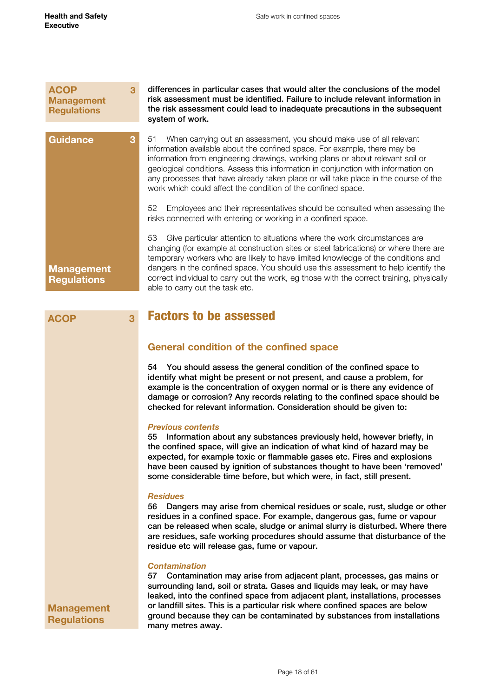<span id="page-17-0"></span>

| <b>ACOP</b><br><b>Management</b><br><b>Regulations</b> | 3 | differences in particular cases that would alter the conclusions of the model<br>risk assessment must be identified. Failure to include relevant information in<br>the risk assessment could lead to inadequate precautions in the subsequent<br>system of work.                                                                                                                                                                                                                      |
|--------------------------------------------------------|---|---------------------------------------------------------------------------------------------------------------------------------------------------------------------------------------------------------------------------------------------------------------------------------------------------------------------------------------------------------------------------------------------------------------------------------------------------------------------------------------|
| <b>Guidance</b>                                        | 3 | When carrying out an assessment, you should make use of all relevant<br>51<br>information available about the confined space. For example, there may be<br>information from engineering drawings, working plans or about relevant soil or<br>geological conditions. Assess this information in conjunction with information on<br>any processes that have already taken place or will take place in the course of the<br>work which could affect the condition of the confined space. |
|                                                        |   | Employees and their representatives should be consulted when assessing the<br>52<br>risks connected with entering or working in a confined space.                                                                                                                                                                                                                                                                                                                                     |
| <b>Management</b><br><b>Regulations</b>                |   | Give particular attention to situations where the work circumstances are<br>53<br>changing (for example at construction sites or steel fabrications) or where there are<br>temporary workers who are likely to have limited knowledge of the conditions and<br>dangers in the confined space. You should use this assessment to help identify the<br>correct individual to carry out the work, eg those with the correct training, physically<br>able to carry out the task etc.      |

Factors to be assessed **ACOP 3**

#### **General condition of the confined space**

54 You should assess the general condition of the confined space to identify what might be present or not present, and cause a problem, for example is the concentration of oxygen normal or is there any evidence of damage or corrosion? Any records relating to the confined space should be checked for relevant information. Consideration should be given to:

#### *Previous contents*

55 Information about any substances previously held, however briefly, in the confined space, will give an indication of what kind of hazard may be expected, for example toxic or flammable gases etc. Fires and explosions have been caused by ignition of substances thought to have been 'removed' some considerable time before, but which were, in fact, still present.

#### *Residues*

56 Dangers may arise from chemical residues or scale, rust, sludge or other residues in a confined space. For example, dangerous gas, fume or vapour can be released when scale, sludge or animal slurry is disturbed. Where there are residues, safe working procedures should assume that disturbance of the residue etc will release gas, fume or vapour.

#### *Contamination*

57 Contamination may arise from adjacent plant, processes, gas mains or surrounding land, soil or strata. Gases and liquids may leak, or may have leaked, into the confined space from adjacent plant, installations, processes or landfill sites. This is a particular risk where confined spaces are below ground because they can be contaminated by substances from installations many metres away.

**Management Regulations**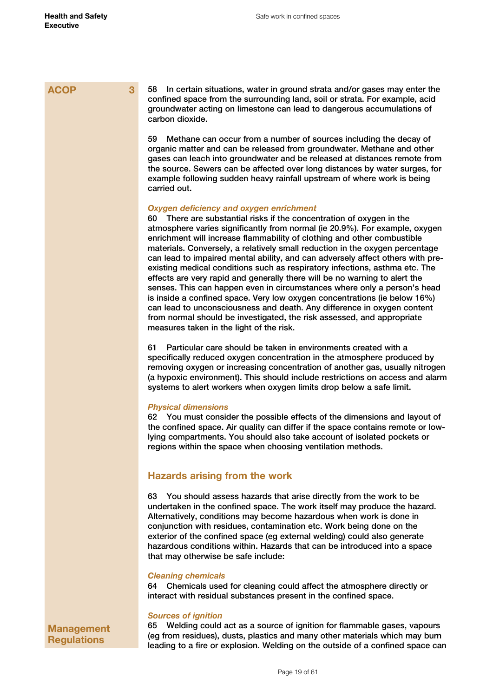| 3<br><b>ACOP</b>                        | In certain situations, water in ground strata and/or gases may enter the<br>58<br>confined space from the surrounding land, soil or strata. For example, acid<br>groundwater acting on limestone can lead to dangerous accumulations of<br>carbon dioxide.                                                                                                                                                                                                                                                                                                                                                                                                                                                                                                                                                                                                                                                                                                         |
|-----------------------------------------|--------------------------------------------------------------------------------------------------------------------------------------------------------------------------------------------------------------------------------------------------------------------------------------------------------------------------------------------------------------------------------------------------------------------------------------------------------------------------------------------------------------------------------------------------------------------------------------------------------------------------------------------------------------------------------------------------------------------------------------------------------------------------------------------------------------------------------------------------------------------------------------------------------------------------------------------------------------------|
|                                         | 59<br>Methane can occur from a number of sources including the decay of<br>organic matter and can be released from groundwater. Methane and other<br>gases can leach into groundwater and be released at distances remote from<br>the source. Sewers can be affected over long distances by water surges, for<br>example following sudden heavy rainfall upstream of where work is being<br>carried out.                                                                                                                                                                                                                                                                                                                                                                                                                                                                                                                                                           |
|                                         | Oxygen deficiency and oxygen enrichment<br>60 There are substantial risks if the concentration of oxygen in the<br>atmosphere varies significantly from normal (ie 20.9%). For example, oxygen<br>enrichment will increase flammability of clothing and other combustible<br>materials. Conversely, a relatively small reduction in the oxygen percentage<br>can lead to impaired mental ability, and can adversely affect others with pre-<br>existing medical conditions such as respiratory infections, asthma etc. The<br>effects are very rapid and generally there will be no warning to alert the<br>senses. This can happen even in circumstances where only a person's head<br>is inside a confined space. Very low oxygen concentrations (ie below 16%)<br>can lead to unconsciousness and death. Any difference in oxygen content<br>from normal should be investigated, the risk assessed, and appropriate<br>measures taken in the light of the risk. |
|                                         | 61<br>Particular care should be taken in environments created with a<br>specifically reduced oxygen concentration in the atmosphere produced by<br>removing oxygen or increasing concentration of another gas, usually nitrogen<br>(a hypoxic environment). This should include restrictions on access and alarm<br>systems to alert workers when oxygen limits drop below a safe limit.                                                                                                                                                                                                                                                                                                                                                                                                                                                                                                                                                                           |
|                                         | <b>Physical dimensions</b><br>62 You must consider the possible effects of the dimensions and layout of<br>the confined space. Air quality can differ if the space contains remote or low-<br>lying compartments. You should also take account of isolated pockets or<br>regions within the space when choosing ventilation methods.                                                                                                                                                                                                                                                                                                                                                                                                                                                                                                                                                                                                                               |
|                                         | Hazards arising from the work                                                                                                                                                                                                                                                                                                                                                                                                                                                                                                                                                                                                                                                                                                                                                                                                                                                                                                                                      |
|                                         | You should assess hazards that arise directly from the work to be<br>63<br>undertaken in the confined space. The work itself may produce the hazard.<br>Alternatively, conditions may become hazardous when work is done in<br>conjunction with residues, contamination etc. Work being done on the<br>exterior of the confined space (eg external welding) could also generate<br>hazardous conditions within. Hazards that can be introduced into a space<br>that may otherwise be safe include:                                                                                                                                                                                                                                                                                                                                                                                                                                                                 |
|                                         | <b>Cleaning chemicals</b><br>Chemicals used for cleaning could affect the atmosphere directly or<br>64<br>interact with residual substances present in the confined space.                                                                                                                                                                                                                                                                                                                                                                                                                                                                                                                                                                                                                                                                                                                                                                                         |
| <b>Management</b><br><b>Regulations</b> | <b>Sources of ignition</b><br>Welding could act as a source of ignition for flammable gases, vapours<br>65<br>(eg from residues), dusts, plastics and many other materials which may burn<br>leading to a fire or explosion. Welding on the outside of a confined space can                                                                                                                                                                                                                                                                                                                                                                                                                                                                                                                                                                                                                                                                                        |

Page 19 of 61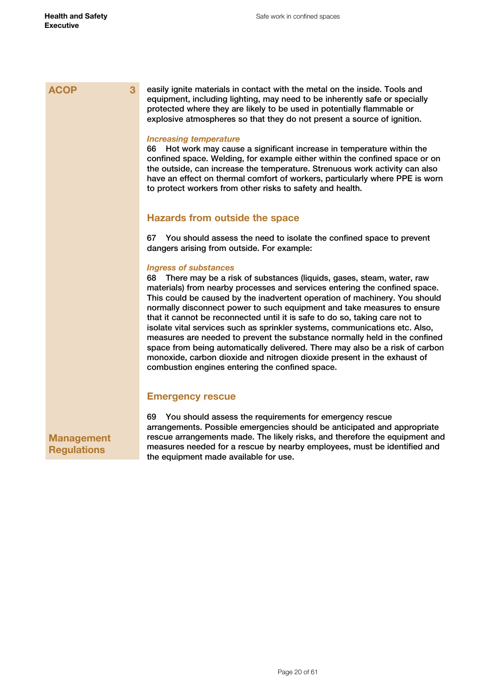Page 20 of 61

| <b>ACOP</b><br>3                        | easily ignite materials in contact with the metal on the inside. Tools and<br>equipment, including lighting, may need to be inherently safe or specially<br>protected where they are likely to be used in potentially flammable or<br>explosive atmospheres so that they do not present a source of ignition.                                                                                                                                                                                                                                                                                                                                                                                                                                                                                               |
|-----------------------------------------|-------------------------------------------------------------------------------------------------------------------------------------------------------------------------------------------------------------------------------------------------------------------------------------------------------------------------------------------------------------------------------------------------------------------------------------------------------------------------------------------------------------------------------------------------------------------------------------------------------------------------------------------------------------------------------------------------------------------------------------------------------------------------------------------------------------|
|                                         | <b>Increasing temperature</b><br>Hot work may cause a significant increase in temperature within the<br>66<br>confined space. Welding, for example either within the confined space or on<br>the outside, can increase the temperature. Strenuous work activity can also<br>have an effect on thermal comfort of workers, particularly where PPE is worn<br>to protect workers from other risks to safety and health.                                                                                                                                                                                                                                                                                                                                                                                       |
|                                         | <b>Hazards from outside the space</b>                                                                                                                                                                                                                                                                                                                                                                                                                                                                                                                                                                                                                                                                                                                                                                       |
|                                         | 67<br>You should assess the need to isolate the confined space to prevent<br>dangers arising from outside. For example:                                                                                                                                                                                                                                                                                                                                                                                                                                                                                                                                                                                                                                                                                     |
|                                         | <b>Ingress of substances</b><br>There may be a risk of substances (liquids, gases, steam, water, raw<br>68<br>materials) from nearby processes and services entering the confined space.<br>This could be caused by the inadvertent operation of machinery. You should<br>normally disconnect power to such equipment and take measures to ensure<br>that it cannot be reconnected until it is safe to do so, taking care not to<br>isolate vital services such as sprinkler systems, communications etc. Also,<br>measures are needed to prevent the substance normally held in the confined<br>space from being automatically delivered. There may also be a risk of carbon<br>monoxide, carbon dioxide and nitrogen dioxide present in the exhaust of<br>combustion engines entering the confined space. |
|                                         | <b>Emergency rescue</b>                                                                                                                                                                                                                                                                                                                                                                                                                                                                                                                                                                                                                                                                                                                                                                                     |
| <b>Management</b><br><b>Regulations</b> | 69<br>You should assess the requirements for emergency rescue<br>arrangements. Possible emergencies should be anticipated and appropriate<br>rescue arrangements made. The likely risks, and therefore the equipment and<br>measures needed for a rescue by nearby employees, must be identified and<br>the equipment made available for use.                                                                                                                                                                                                                                                                                                                                                                                                                                                               |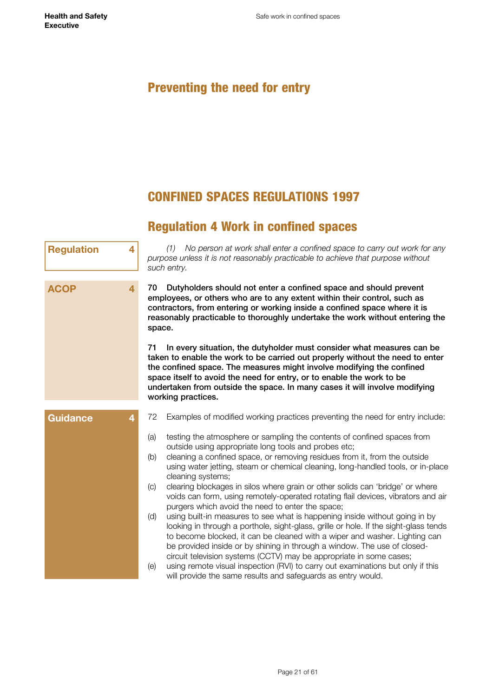### <span id="page-20-0"></span>Preventing the need for entry

### CONFINED SPACES REGIII ATIONS 1997

### Regulation 4 Work in confined spaces

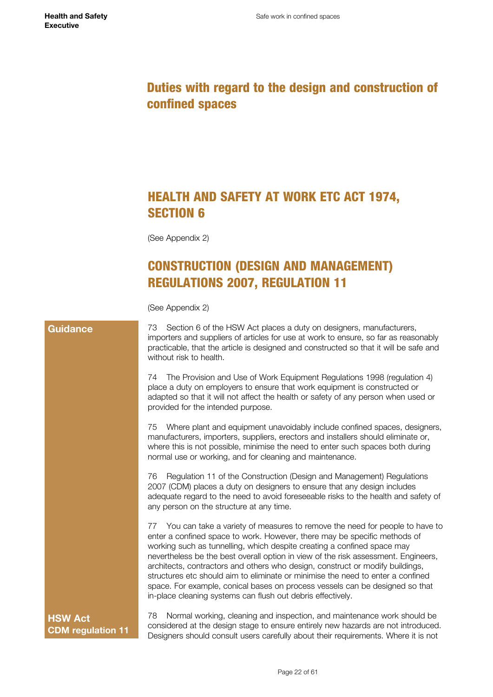### <span id="page-21-0"></span>Duties with regard to the design and construction of confined spaces

# HEALTH AND SAFETY AT WORK ETC ACT 1974, SECTION 6

(See Appendix 2)

# CONSTRUCTION (DESIGN AND MANAGEMENT) REGULATIONS 2007, REGULATION 11

(See Appendix 2)

| <b>Guidance</b>                            | Section 6 of the HSW Act places a duty on designers, manufacturers,<br>73.<br>importers and suppliers of articles for use at work to ensure, so far as reasonably<br>practicable, that the article is designed and constructed so that it will be safe and<br>without risk to health.                                                                                                                                                                                                                                                                                                                                                              |
|--------------------------------------------|----------------------------------------------------------------------------------------------------------------------------------------------------------------------------------------------------------------------------------------------------------------------------------------------------------------------------------------------------------------------------------------------------------------------------------------------------------------------------------------------------------------------------------------------------------------------------------------------------------------------------------------------------|
|                                            | The Provision and Use of Work Equipment Regulations 1998 (regulation 4)<br>74<br>place a duty on employers to ensure that work equipment is constructed or<br>adapted so that it will not affect the health or safety of any person when used or<br>provided for the intended purpose.                                                                                                                                                                                                                                                                                                                                                             |
|                                            | Where plant and equipment unavoidably include confined spaces, designers,<br>75<br>manufacturers, importers, suppliers, erectors and installers should eliminate or,<br>where this is not possible, minimise the need to enter such spaces both during<br>normal use or working, and for cleaning and maintenance.                                                                                                                                                                                                                                                                                                                                 |
|                                            | Regulation 11 of the Construction (Design and Management) Regulations<br>76<br>2007 (CDM) places a duty on designers to ensure that any design includes<br>adequate regard to the need to avoid foreseeable risks to the health and safety of<br>any person on the structure at any time.                                                                                                                                                                                                                                                                                                                                                          |
|                                            | You can take a variety of measures to remove the need for people to have to<br>77<br>enter a confined space to work. However, there may be specific methods of<br>working such as tunnelling, which despite creating a confined space may<br>nevertheless be the best overall option in view of the risk assessment. Engineers,<br>architects, contractors and others who design, construct or modify buildings,<br>structures etc should aim to eliminate or minimise the need to enter a confined<br>space. For example, conical bases on process vessels can be designed so that<br>in-place cleaning systems can flush out debris effectively. |
| <b>HSW Act</b><br><b>CDM</b> regulation 11 | Normal working, cleaning and inspection, and maintenance work should be<br>78<br>considered at the design stage to ensure entirely new hazards are not introduced.<br>Designers should consult users carefully about their requirements. Where it is not                                                                                                                                                                                                                                                                                                                                                                                           |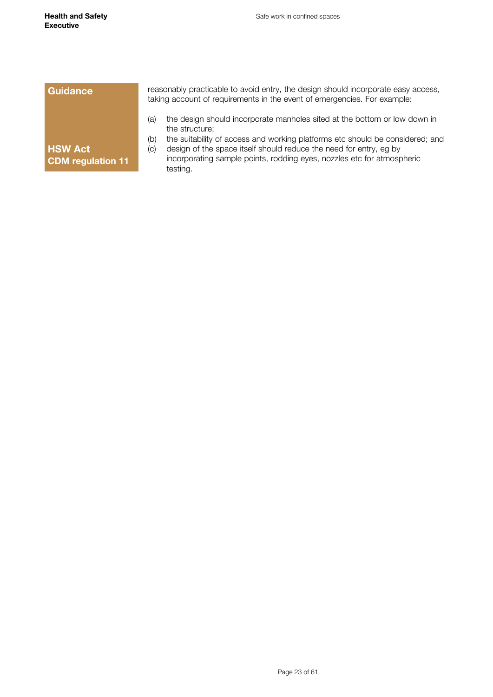| Guidance                                   | reasonably practicable to avoid entry, the design should incorporate easy access,<br>taking account of requirements in the event of emergencies. For example:                              |
|--------------------------------------------|--------------------------------------------------------------------------------------------------------------------------------------------------------------------------------------------|
|                                            | the design should incorporate manholes sited at the bottom or low down in<br>(a)<br>the structure;<br>the suitability of access and working platforms etc should be considered; and<br>(b) |
| <b>HSW Act</b><br><b>CDM</b> regulation 11 | design of the space itself should reduce the need for entry, eg by<br>(C)<br>incorporating sample points, rodding eyes, nozzles etc for atmospheric<br>testing.                            |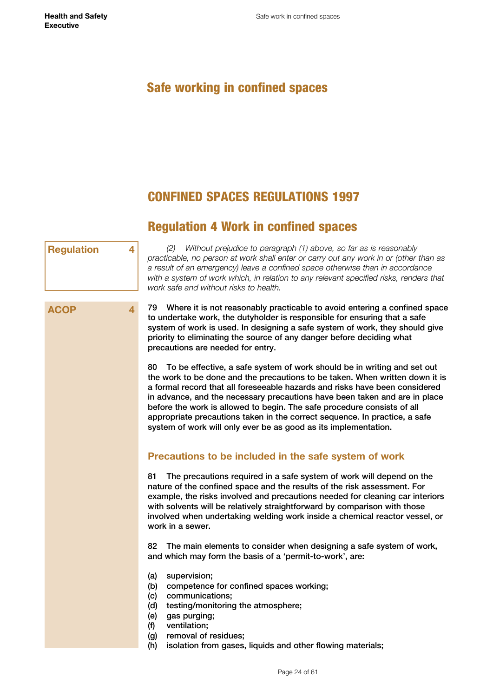### <span id="page-23-0"></span>Safe working in confined spaces

### CONFINED SPACES REGIII ATIONS 1997

### Regulation 4 Work in confined spaces

| <b>Regulation</b> | 4 | (2) Without prej<br>practicable, no person<br>a result of an emergen<br>with a system of work<br>work safe and without                                                                              |
|-------------------|---|-----------------------------------------------------------------------------------------------------------------------------------------------------------------------------------------------------|
| <b>ACOP</b>       | 4 | Where it is not r<br>79<br>to undertake work, th<br>system of work is us<br>priority to eliminating<br>precautions are need                                                                         |
|                   |   | 80 To be effective,<br>the work to be done<br>a formal record that a<br>in advance, and the r<br>before the work is all<br>appropriate precautio<br>system of work will o                           |
|                   |   | <b>Precautions to be</b><br>81<br>The precautions<br>nature of the confine<br>example, the risks in<br>with solvents will be<br>involved when under<br>work in a sewer.                             |
|                   |   | 82 -<br>The main eleme<br>and which may form                                                                                                                                                        |
|                   |   | (a)<br>supervision;<br>(b)<br>competence for<br>communications<br>(c)<br>testing/monitori<br>(d)<br>(e)<br>gas purging;<br>(f)<br>ventilation;<br>removal of resid<br>(g)<br>inalation from a<br>/뇌 |

*(2) Without prejudice to paragraph (1) above, so far as is reasonably practicable, no person at work shall enter or carry out any work in or (other than as a result of an emergency) leave a confined space otherwise than in accordance*  which, in relation to any relevant specified risks, renders that risks to health.

easonably practicable to avoid entering a confined space ne dutyholder is responsible for ensuring that a safe ed. In designing a safe system of work, they should give the source of any danger before deciding what led for entry.

a safe system of work should be in writing and set out and the precautions to be taken. When written down it is all foreseeable hazards and risks have been considered necessary precautions have been taken and are in place lowed to begin. The safe procedure consists of all ons taken in the correct sequence. In practice, a safe nly ever be as good as its implementation.

#### **Prencified in the safe system of work**

required in a safe system of work will depend on the d space and the results of the risk assessment. For volved and precautions needed for cleaning car interiors relatively straightforward by comparison with those taking welding work inside a chemical reactor vessel, or

nts to consider when designing a safe system of work, the basis of a 'permit-to-work', are:

- confined spaces working;
- (c) communications;
- ng the atmosphere;
- lues;
- (h) isolation from gases, liquids and other flowing materials;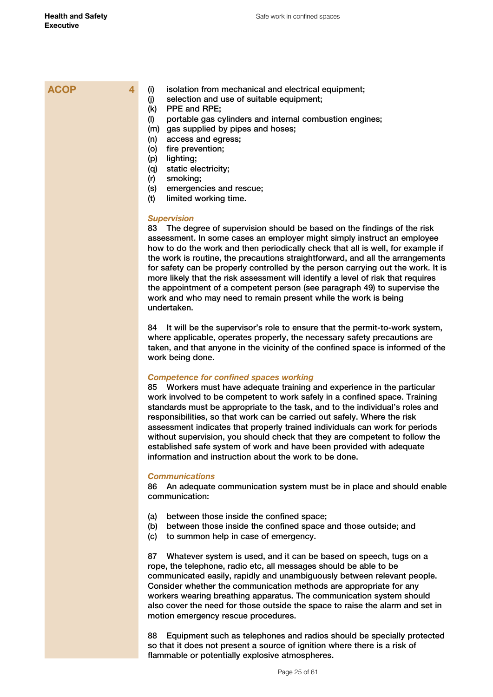| <b>ACOP</b> | 4 | isolation from mechanical and electrical equipment;<br>(i)<br>selection and use of suitable equipment;<br>(i)<br>(k)<br>PPE and RPE;<br>portable gas cylinders and internal combustion engines;<br>(1)<br>gas supplied by pipes and hoses;<br>(m)<br>access and egress;<br>(n)<br>fire prevention;<br>(o)<br>lighting;<br>(p)<br>static electricity;<br>(q)<br>(r)<br>smoking;<br>emergencies and rescue;<br>(s)<br>(t)<br>limited working time.<br><b>Supervision</b><br>The degree of supervision should be based on the findings of the risk<br>83<br>assessment. In some cases an employer might simply instruct an employee<br>how to do the work and then periodically check that all is well, for example if<br>the work is routine, the precautions straightforward, and all the arrangements<br>for safety can be properly controlled by the person carrying out the work. It is<br>more likely that the risk assessment will identify a level of risk that requires<br>the appointment of a competent person (see paragraph 49) to supervise the<br>work and who may need to remain present while the work is being<br>undertaken. |
|-------------|---|----------------------------------------------------------------------------------------------------------------------------------------------------------------------------------------------------------------------------------------------------------------------------------------------------------------------------------------------------------------------------------------------------------------------------------------------------------------------------------------------------------------------------------------------------------------------------------------------------------------------------------------------------------------------------------------------------------------------------------------------------------------------------------------------------------------------------------------------------------------------------------------------------------------------------------------------------------------------------------------------------------------------------------------------------------------------------------------------------------------------------------------------|
|             |   | It will be the supervisor's role to ensure that the permit-to-work system,<br>84<br>where applicable, operates properly, the necessary safety precautions are<br>taken, and that anyone in the vicinity of the confined space is informed of the<br>work being done.                                                                                                                                                                                                                                                                                                                                                                                                                                                                                                                                                                                                                                                                                                                                                                                                                                                                         |

#### *Competence for confined spaces working*

85 Workers must have adequate training and experience in the particular work involved to be competent to work safely in a confined space. Training standards must be appropriate to the task, and to the individual's roles and responsibilities, so that work can be carried out safely. Where the risk assessment indicates that properly trained individuals can work for periods without supervision, you should check that they are competent to follow the established safe system of work and have been provided with adequate information and instruction about the work to be done.

#### *Communications*

86 An adequate communication system must be in place and should enable communication:

- (a) between those inside the confined space;
- (b) between those inside the confined space and those outside; and
- (c) to summon help in case of emergency.

87 Whatever system is used, and it can be based on speech, tugs on a rope, the telephone, radio etc, all messages should be able to be communicated easily, rapidly and unambiguously between relevant people. Consider whether the communication methods are appropriate for any workers wearing breathing apparatus. The communication system should also cover the need for those outside the space to raise the alarm and set in motion emergency rescue procedures.

88 Equipment such as telephones and radios should be specially protected so that it does not present a source of ignition where there is a risk of flammable or potentially explosive atmospheres.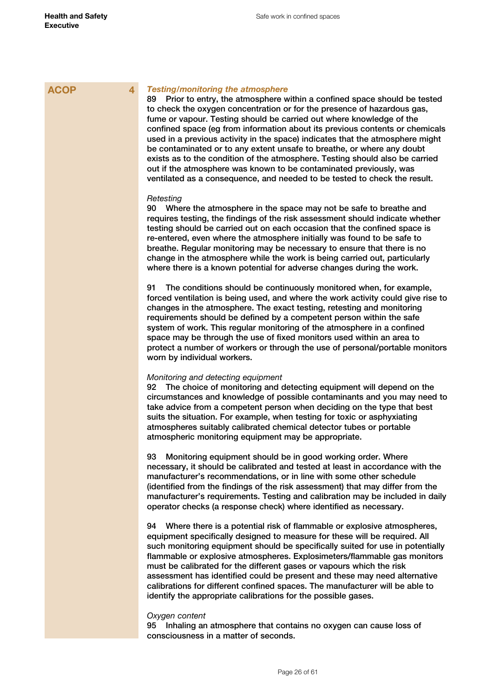**ACOP 4**

#### *Testing/monitoring the atmosphere*

89 Prior to entry, the atmosphere within a confined space should be tested to check the oxygen concentration or for the presence of hazardous gas, fume or vapour. Testing should be carried out where knowledge of the confined space (eg from information about its previous contents or chemicals used in a previous activity in the space) indicates that the atmosphere might be contaminated or to any extent unsafe to breathe, or where any doubt exists as to the condition of the atmosphere. Testing should also be carried out if the atmosphere was known to be contaminated previously, was ventilated as a consequence, and needed to be tested to check the result.

#### *Retesting*

90 Where the atmosphere in the space may not be safe to breathe and requires testing, the findings of the risk assessment should indicate whether testing should be carried out on each occasion that the confined space is re-entered, even where the atmosphere initially was found to be safe to breathe. Regular monitoring may be necessary to ensure that there is no change in the atmosphere while the work is being carried out, particularly where there is a known potential for adverse changes during the work.

91 The conditions should be continuously monitored when, for example, forced ventilation is being used, and where the work activity could give rise to changes in the atmosphere. The exact testing, retesting and monitoring requirements should be defined by a competent person within the safe system of work. This regular monitoring of the atmosphere in a confined space may be through the use of fixed monitors used within an area to protect a number of workers or through the use of personal/portable monitors worn by individual workers.

#### *Monitoring and detecting equipment*

92 The choice of monitoring and detecting equipment will depend on the circumstances and knowledge of possible contaminants and you may need to take advice from a competent person when deciding on the type that best suits the situation. For example, when testing for toxic or asphyxiating atmospheres suitably calibrated chemical detector tubes or portable atmospheric monitoring equipment may be appropriate.

93 Monitoring equipment should be in good working order. Where necessary, it should be calibrated and tested at least in accordance with the manufacturer's recommendations, or in line with some other schedule (identified from the findings of the risk assessment) that may differ from the manufacturer's requirements. Testing and calibration may be included in daily operator checks (a response check) where identified as necessary.

94 Where there is a potential risk of flammable or explosive atmospheres, equipment specifically designed to measure for these will be required. All such monitoring equipment should be specifically suited for use in potentially flammable or explosive atmospheres. Explosimeters/flammable gas monitors must be calibrated for the different gases or vapours which the risk assessment has identified could be present and these may need alternative calibrations for different confined spaces. The manufacturer will be able to identify the appropriate calibrations for the possible gases.

#### *Oxygen content*

95 Inhaling an atmosphere that contains no oxygen can cause loss of consciousness in a matter of seconds.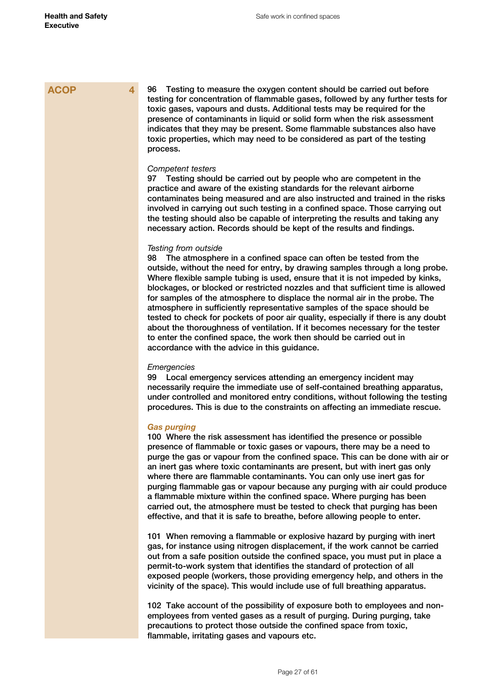#### **ACOP 4**

96 Testing to measure the oxygen content should be carried out before testing for concentration of flammable gases, followed by any further tests for toxic gases, vapours and dusts. Additional tests may be required for the presence of contaminants in liquid or solid form when the risk assessment indicates that they may be present. Some flammable substances also have toxic properties, which may need to be considered as part of the testing process.

#### *Competent testers*

97 Testing should be carried out by people who are competent in the practice and aware of the existing standards for the relevant airborne contaminates being measured and are also instructed and trained in the risks involved in carrying out such testing in a confined space. Those carrying out the testing should also be capable of interpreting the results and taking any necessary action. Records should be kept of the results and findings.

#### *Testing from outside*

98 The atmosphere in a confined space can often be tested from the outside, without the need for entry, by drawing samples through a long probe. Where flexible sample tubing is used, ensure that it is not impeded by kinks, blockages, or blocked or restricted nozzles and that sufficient time is allowed for samples of the atmosphere to displace the normal air in the probe. The atmosphere in sufficiently representative samples of the space should be tested to check for pockets of poor air quality, especially if there is any doubt about the thoroughness of ventilation. If it becomes necessary for the tester to enter the confined space, the work then should be carried out in accordance with the advice in this guidance.

#### *Emergencies*

99 Local emergency services attending an emergency incident may necessarily require the immediate use of self-contained breathing apparatus, under controlled and monitored entry conditions, without following the testing procedures. This is due to the constraints on affecting an immediate rescue.

#### *Gas purging*

100 Where the risk assessment has identified the presence or possible presence of flammable or toxic gases or vapours, there may be a need to purge the gas or vapour from the confined space. This can be done with air or an inert gas where toxic contaminants are present, but with inert gas only where there are flammable contaminants. You can only use inert gas for purging flammable gas or vapour because any purging with air could produce a flammable mixture within the confined space. Where purging has been carried out, the atmosphere must be tested to check that purging has been effective, and that it is safe to breathe, before allowing people to enter.

101 When removing a flammable or explosive hazard by purging with inert gas, for instance using nitrogen displacement, if the work cannot be carried out from a safe position outside the confined space, you must put in place a permit-to-work system that identifies the standard of protection of all exposed people (workers, those providing emergency help, and others in the vicinity of the space). This would include use of full breathing apparatus.

102 Take account of the possibility of exposure both to employees and nonemployees from vented gases as a result of purging. During purging, take precautions to protect those outside the confined space from toxic, flammable, irritating gases and vapours etc.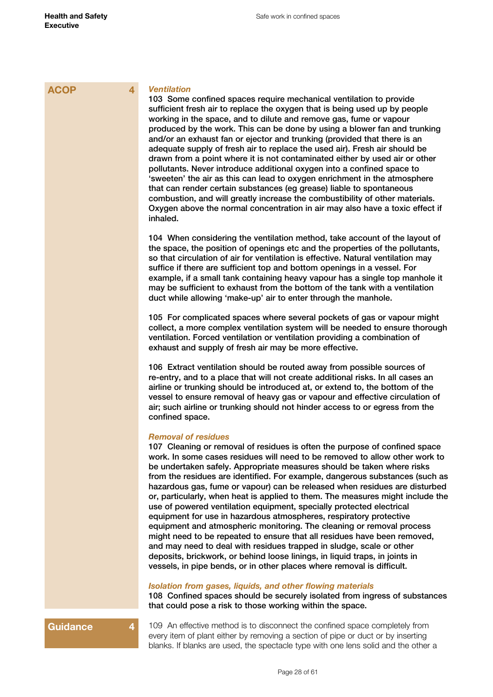**ACOP 4**

#### *Ventilation*

103 Some confined spaces require mechanical ventilation to provide sufficient fresh air to replace the oxygen that is being used up by people working in the space, and to dilute and remove gas, fume or vapour produced by the work. This can be done by using a blower fan and trunking and/or an exhaust fan or ejector and trunking (provided that there is an adequate supply of fresh air to replace the used air). Fresh air should be drawn from a point where it is not contaminated either by used air or other pollutants. Never introduce additional oxygen into a confined space to 'sweeten' the air as this can lead to oxygen enrichment in the atmosphere that can render certain substances (eg grease) liable to spontaneous combustion, and will greatly increase the combustibility of other materials. Oxygen above the normal concentration in air may also have a toxic effect if inhaled.

104 When considering the ventilation method, take account of the layout of the space, the position of openings etc and the properties of the pollutants, so that circulation of air for ventilation is effective. Natural ventilation may suffice if there are sufficient top and bottom openings in a vessel. For example, if a small tank containing heavy vapour has a single top manhole it may be sufficient to exhaust from the bottom of the tank with a ventilation duct while allowing 'make-up' air to enter through the manhole.

105 For complicated spaces where several pockets of gas or vapour might collect, a more complex ventilation system will be needed to ensure thorough ventilation. Forced ventilation or ventilation providing a combination of exhaust and supply of fresh air may be more effective.

106 Extract ventilation should be routed away from possible sources of re-entry, and to a place that will not create additional risks. In all cases an airline or trunking should be introduced at, or extend to, the bottom of the vessel to ensure removal of heavy gas or vapour and effective circulation of air; such airline or trunking should not hinder access to or egress from the confined space.

#### *Removal of residues*

107 Cleaning or removal of residues is often the purpose of confined space work. In some cases residues will need to be removed to allow other work to be undertaken safely. Appropriate measures should be taken where risks from the residues are identified. For example, dangerous substances (such as hazardous gas, fume or vapour) can be released when residues are disturbed or, particularly, when heat is applied to them. The measures might include the use of powered ventilation equipment, specially protected electrical equipment for use in hazardous atmospheres, respiratory protective equipment and atmospheric monitoring. The cleaning or removal process might need to be repeated to ensure that all residues have been removed, and may need to deal with residues trapped in sludge, scale or other deposits, brickwork, or behind loose linings, in liquid traps, in joints in vessels, in pipe bends, or in other places where removal is difficult.

#### *Isolation from gases, liquids, and other flowing materials*

108 Confined spaces should be securely isolated from ingress of substances that could pose a risk to those working within the space.

**Guidance 4**

109 An effective method is to disconnect the confined space completely from every item of plant either by removing a section of pipe or duct or by inserting blanks. If blanks are used, the spectacle type with one lens solid and the other a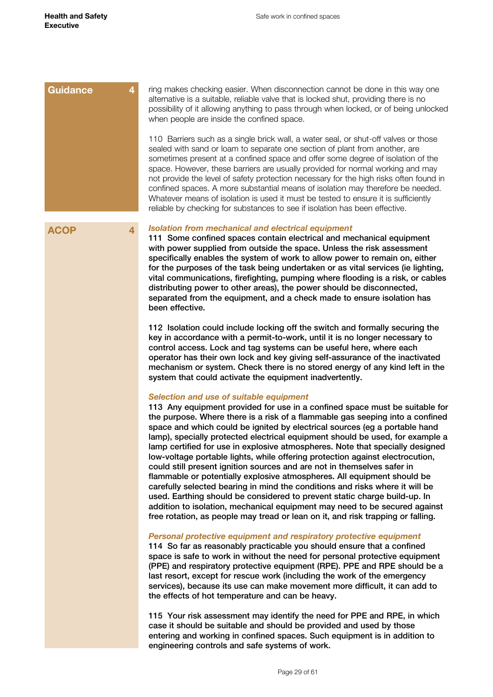ring makes checking easier. When disconnection cannot be done in this way one alternative is a suitable, reliable valve that is locked shut, providing there is no possibility of it allowing anything to pass through when locked, or of being unlocked when people are inside the confined space. 110 Barriers such as a single brick wall, a water seal, or shut-off valves or those sealed with sand or loam to separate one section of plant from another, are sometimes present at a confined space and offer some degree of isolation of the space. However, these barriers are usually provided for normal working and may not provide the level of safety protection necessary for the high risks often found in confined spaces. A more substantial means of isolation may therefore be needed. Whatever means of isolation is used it must be tested to ensure it is sufficiently reliable by checking for substances to see if isolation has been effective. *Isolation from mechanical and electrical equipment*  111 Some confined spaces contain electrical and mechanical equipment with power supplied from outside the space. Unless the risk assessment specifically enables the system of work to allow power to remain on, either for the purposes of the task being undertaken or as vital services (ie lighting, vital communications, firefighting, pumping where flooding is a risk, or cables distributing power to other areas), the power should be disconnected, separated from the equipment, and a check made to ensure isolation has been effective. 112 Isolation could include locking off the switch and formally securing the key in accordance with a permit-to-work, until it is no longer necessary to control access. Lock and tag systems can be useful here, where each operator has their own lock and key giving self-assurance of the inactivated mechanism or system. Check there is no stored energy of any kind left in the system that could activate the equipment inadvertently. *Selection and use of suitable equipment*  113 Any equipment provided for use in a confined space must be suitable for the purpose. Where there is a risk of a flammable gas seeping into a confined space and which could be ignited by electrical sources (eg a portable hand lamp), specially protected electrical equipment should be used, for example a lamp certified for use in explosive atmospheres. Note that specially designed low-voltage portable lights, while offering protection against electrocution, could still present ignition sources and are not in themselves safer in flammable or potentially explosive atmospheres. All equipment should be carefully selected bearing in mind the conditions and risks where it will be used. Earthing should be considered to prevent static charge build-up. In addition to isolation, mechanical equipment may need to be secured against free rotation, as people may tread or lean on it, and risk trapping or falling. *Personal protective equipment and respiratory protective equipment*  114 So far as reasonably practicable you should ensure that a confined space is safe to work in without the need for personal protective equipment (PPE) and respiratory protective equipment (RPE). PPE and RPE should be a last resort, except for rescue work (including the work of the emergency services), because its use can make movement more difficult, it can add to the effects of hot temperature and can be heavy. 115 Your risk assessment may identify the need for PPE and RPE, in which case it should be suitable and should be provided and used by those entering and working in confined spaces. Such equipment is in addition to engineering controls and safe systems of work. **Guidance 4 ACOP 4**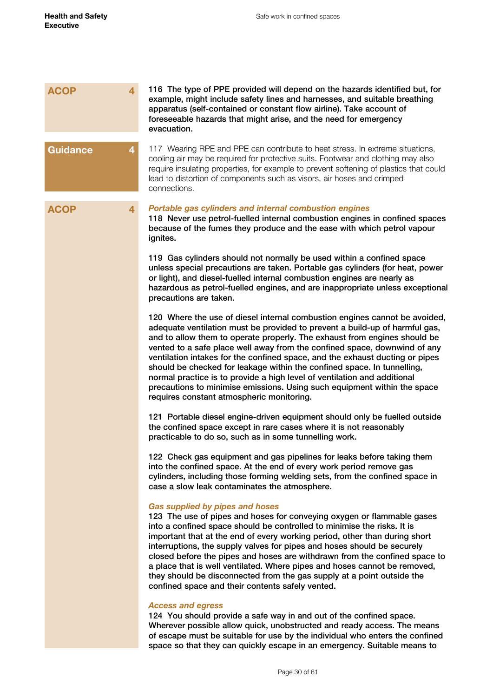| <b>ACOP</b>     | 4                       | 116 The type of PPE provided will depend on the hazards identified but, for<br>example, might include safety lines and harnesses, and suitable breathing<br>apparatus (self-contained or constant flow airline). Take account of<br>foreseeable hazards that might arise, and the need for emergency<br>evacuation.                                                                                                                                                                                                                                                                                                                                                                 |
|-----------------|-------------------------|-------------------------------------------------------------------------------------------------------------------------------------------------------------------------------------------------------------------------------------------------------------------------------------------------------------------------------------------------------------------------------------------------------------------------------------------------------------------------------------------------------------------------------------------------------------------------------------------------------------------------------------------------------------------------------------|
| <b>Guidance</b> | 4                       | 117 Wearing RPE and PPE can contribute to heat stress. In extreme situations,<br>cooling air may be required for protective suits. Footwear and clothing may also<br>require insulating properties, for example to prevent softening of plastics that could<br>lead to distortion of components such as visors, air hoses and crimped<br>connections.                                                                                                                                                                                                                                                                                                                               |
| <b>ACOP</b>     | $\overline{\mathbf{4}}$ | Portable gas cylinders and internal combustion engines<br>118 Never use petrol-fuelled internal combustion engines in confined spaces<br>because of the fumes they produce and the ease with which petrol vapour<br>ignites.                                                                                                                                                                                                                                                                                                                                                                                                                                                        |
|                 |                         | 119 Gas cylinders should not normally be used within a confined space<br>unless special precautions are taken. Portable gas cylinders (for heat, power<br>or light), and diesel-fuelled internal combustion engines are nearly as<br>hazardous as petrol-fuelled engines, and are inappropriate unless exceptional<br>precautions are taken.                                                                                                                                                                                                                                                                                                                                        |
|                 |                         | 120 Where the use of diesel internal combustion engines cannot be avoided,<br>adequate ventilation must be provided to prevent a build-up of harmful gas,<br>and to allow them to operate properly. The exhaust from engines should be<br>vented to a safe place well away from the confined space, downwind of any<br>ventilation intakes for the confined space, and the exhaust ducting or pipes<br>should be checked for leakage within the confined space. In tunnelling,<br>normal practice is to provide a high level of ventilation and additional<br>precautions to minimise emissions. Using such equipment within the space<br>requires constant atmospheric monitoring. |
|                 |                         | 121 Portable diesel engine-driven equipment should only be fuelled outside<br>the confined space except in rare cases where it is not reasonably<br>practicable to do so, such as in some tunnelling work.                                                                                                                                                                                                                                                                                                                                                                                                                                                                          |
|                 |                         | 122 Check gas equipment and gas pipelines for leaks before taking them<br>into the confined space. At the end of every work period remove gas<br>cylinders, including those forming welding sets, from the confined space in<br>case a slow leak contaminates the atmosphere.                                                                                                                                                                                                                                                                                                                                                                                                       |
|                 |                         | <b>Gas supplied by pipes and hoses</b><br>123 The use of pipes and hoses for conveying oxygen or flammable gases<br>into a confined space should be controlled to minimise the risks. It is<br>important that at the end of every working period, other than during short<br>interruptions, the supply valves for pipes and hoses should be securely<br>closed before the pipes and hoses are withdrawn from the confined space to<br>a place that is well ventilated. Where pipes and hoses cannot be removed,<br>they should be disconnected from the gas supply at a point outside the<br>confined space and their contents safely vented.                                       |
|                 |                         | <b>Access and egress</b><br>124 You should provide a safe way in and out of the confined space.<br>Wherever possible allow quick, unobstructed and ready access. The means<br>of escape must be suitable for use by the individual who enters the confined<br>space so that they can quickly escape in an emergency. Suitable means to                                                                                                                                                                                                                                                                                                                                              |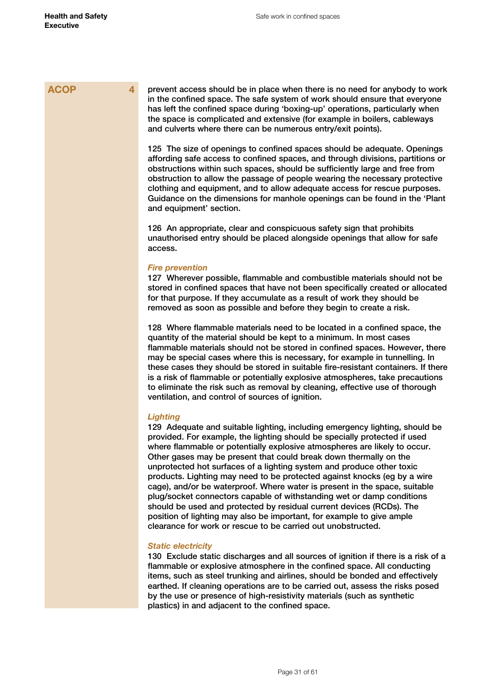prevent access should be in place when there is no need for anybody to work in the confined space. The safe system of work should ensure that everyone has left the confined space during 'boxing-up' operations, particularly when the space is complicated and extensive (for example in boilers, cableways and culverts where there can be numerous entry/exit points). **ACOP 4**

> 125 The size of openings to confined spaces should be adequate. Openings affording safe access to confined spaces, and through divisions, partitions or obstructions within such spaces, should be sufficiently large and free from obstruction to allow the passage of people wearing the necessary protective clothing and equipment, and to allow adequate access for rescue purposes. Guidance on the dimensions for manhole openings can be found in the 'Plant and equipment' section.

126 An appropriate, clear and conspicuous safety sign that prohibits unauthorised entry should be placed alongside openings that allow for safe access.

#### *Fire prevention*

127 Wherever possible, flammable and combustible materials should not be stored in confined spaces that have not been specifically created or allocated for that purpose. If they accumulate as a result of work they should be removed as soon as possible and before they begin to create a risk.

128 Where flammable materials need to be located in a confined space, the quantity of the material should be kept to a minimum. In most cases flammable materials should not be stored in confined spaces. However, there may be special cases where this is necessary, for example in tunnelling. In these cases they should be stored in suitable fire-resistant containers. If there is a risk of flammable or potentially explosive atmospheres, take precautions to eliminate the risk such as removal by cleaning, effective use of thorough ventilation, and control of sources of ignition.

#### *Lighting*

129 Adequate and suitable lighting, including emergency lighting, should be provided. For example, the lighting should be specially protected if used where flammable or potentially explosive atmospheres are likely to occur. Other gases may be present that could break down thermally on the unprotected hot surfaces of a lighting system and produce other toxic products. Lighting may need to be protected against knocks (eg by a wire cage), and/or be waterproof. Where water is present in the space, suitable plug/socket connectors capable of withstanding wet or damp conditions should be used and protected by residual current devices (RCDs). The position of lighting may also be important, for example to give ample clearance for work or rescue to be carried out unobstructed.

#### *Static electricity*

130 Exclude static discharges and all sources of ignition if there is a risk of a flammable or explosive atmosphere in the confined space. All conducting items, such as steel trunking and airlines, should be bonded and effectively earthed. If cleaning operations are to be carried out, assess the risks posed by the use or presence of high-resistivity materials (such as synthetic plastics) in and adjacent to the confined space.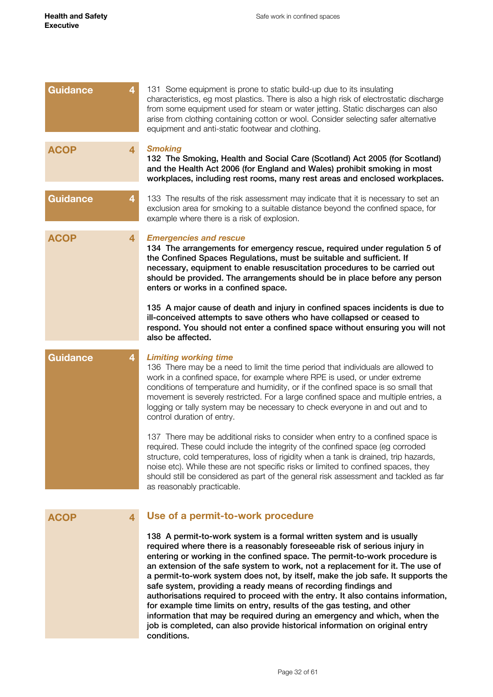| <b>Guidance</b> | 4 | 131 Some equipment is prone to static build-up due to its insulating<br>characteristics, eg most plastics. There is also a high risk of electrostatic discharge<br>from some equipment used for steam or water jetting. Static discharges can also<br>arise from clothing containing cotton or wool. Consider selecting safer alternative<br>equipment and anti-static footwear and clothing.                                                                         |
|-----------------|---|-----------------------------------------------------------------------------------------------------------------------------------------------------------------------------------------------------------------------------------------------------------------------------------------------------------------------------------------------------------------------------------------------------------------------------------------------------------------------|
| <b>ACOP</b>     | 4 | <b>Smoking</b><br>132 The Smoking, Health and Social Care (Scotland) Act 2005 (for Scotland)<br>and the Health Act 2006 (for England and Wales) prohibit smoking in most<br>workplaces, including rest rooms, many rest areas and enclosed workplaces.                                                                                                                                                                                                                |
| <b>Guidance</b> | 4 | 133 The results of the risk assessment may indicate that it is necessary to set an<br>exclusion area for smoking to a suitable distance beyond the confined space, for<br>example where there is a risk of explosion.                                                                                                                                                                                                                                                 |
| <b>ACOP</b>     | 4 | <b>Emergencies and rescue</b><br>134 The arrangements for emergency rescue, required under regulation 5 of<br>the Confined Spaces Regulations, must be suitable and sufficient. If<br>necessary, equipment to enable resuscitation procedures to be carried out<br>should be provided. The arrangements should be in place before any person<br>enters or works in a confined space.                                                                                  |
|                 |   | 135 A major cause of death and injury in confined spaces incidents is due to<br>ill-conceived attempts to save others who have collapsed or ceased to<br>respond. You should not enter a confined space without ensuring you will not<br>also be affected.                                                                                                                                                                                                            |
| Guidance        | 4 | <b>Limiting working time</b><br>136 There may be a need to limit the time period that individuals are allowed to<br>work in a confined space, for example where RPE is used, or under extreme                                                                                                                                                                                                                                                                         |
|                 |   | conditions of temperature and humidity, or if the confined space is so small that<br>movement is severely restricted. For a large confined space and multiple entries, a<br>logging or tally system may be necessary to check everyone in and out and to<br>control duration of entry.                                                                                                                                                                                |
|                 |   | 137 There may be additional risks to consider when entry to a confined space is<br>required. These could include the integrity of the confined space (eg corroded<br>structure, cold temperatures, loss of rigidity when a tank is drained, trip hazards,<br>noise etc). While these are not specific risks or limited to confined spaces, they<br>should still be considered as part of the general risk assessment and tackled as far<br>as reasonably practicable. |

138 A permit-to-work system is a formal written system and is usually required where there is a reasonably foreseeable risk of serious injury in entering or working in the confined space. The permit-to-work procedure is an extension of the safe system to work, not a replacement for it. The use of a permit-to-work system does not, by itself, make the job safe. It supports the safe system, providing a ready means of recording findings and authorisations required to proceed with the entry. It also contains information, for example time limits on entry, results of the gas testing, and other information that may be required during an emergency and which, when the job is completed, can also provide historical information on original entry conditions.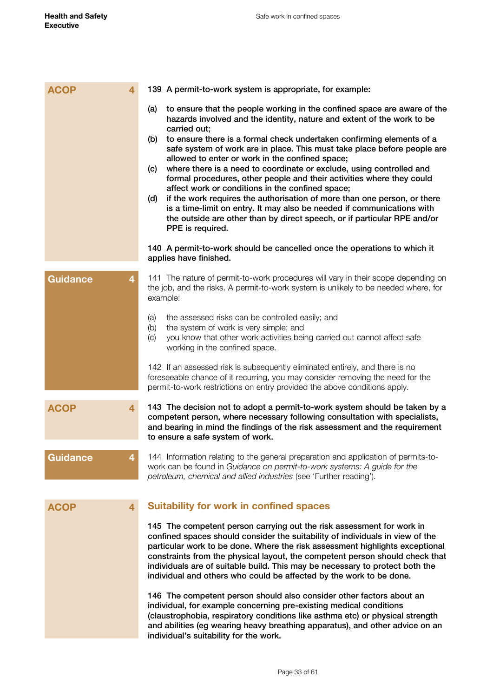| <b>ACOP</b>     | 4                       | 139 A permit-to-work system is appropriate, for example:                                                                                                                                                                                                                                                                                                                                                                                                                                                                                                                                                                                                                                                                                                                                                                                                                                                                                      |
|-----------------|-------------------------|-----------------------------------------------------------------------------------------------------------------------------------------------------------------------------------------------------------------------------------------------------------------------------------------------------------------------------------------------------------------------------------------------------------------------------------------------------------------------------------------------------------------------------------------------------------------------------------------------------------------------------------------------------------------------------------------------------------------------------------------------------------------------------------------------------------------------------------------------------------------------------------------------------------------------------------------------|
|                 |                         | to ensure that the people working in the confined space are aware of the<br>(a)<br>hazards involved and the identity, nature and extent of the work to be<br>carried out;<br>to ensure there is a formal check undertaken confirming elements of a<br>(b)<br>safe system of work are in place. This must take place before people are<br>allowed to enter or work in the confined space;<br>where there is a need to coordinate or exclude, using controlled and<br>(c)<br>formal procedures, other people and their activities where they could<br>affect work or conditions in the confined space;<br>if the work requires the authorisation of more than one person, or there<br>(d)<br>is a time-limit on entry. It may also be needed if communications with<br>the outside are other than by direct speech, or if particular RPE and/or<br>PPE is required.<br>140 A permit-to-work should be cancelled once the operations to which it |
|                 |                         | applies have finished.                                                                                                                                                                                                                                                                                                                                                                                                                                                                                                                                                                                                                                                                                                                                                                                                                                                                                                                        |
| <b>Guidance</b> | 4                       | 141 The nature of permit-to-work procedures will vary in their scope depending on<br>the job, and the risks. A permit-to-work system is unlikely to be needed where, for<br>example:                                                                                                                                                                                                                                                                                                                                                                                                                                                                                                                                                                                                                                                                                                                                                          |
|                 |                         | (a)<br>the assessed risks can be controlled easily; and<br>(b)<br>the system of work is very simple; and<br>(C)<br>you know that other work activities being carried out cannot affect safe<br>working in the confined space.                                                                                                                                                                                                                                                                                                                                                                                                                                                                                                                                                                                                                                                                                                                 |
|                 |                         | 142 If an assessed risk is subsequently eliminated entirely, and there is no<br>foreseeable chance of it recurring, you may consider removing the need for the<br>permit-to-work restrictions on entry provided the above conditions apply.                                                                                                                                                                                                                                                                                                                                                                                                                                                                                                                                                                                                                                                                                                   |
| <b>ACOP</b>     | $\overline{\mathbf{4}}$ | 143 The decision not to adopt a permit-to-work system should be taken by a<br>competent person, where necessary following consultation with specialists,<br>and bearing in mind the findings of the risk assessment and the requirement<br>to ensure a safe system of work.                                                                                                                                                                                                                                                                                                                                                                                                                                                                                                                                                                                                                                                                   |
| <b>Guidance</b> | 4                       | 144 Information relating to the general preparation and application of permits-to-<br>work can be found in Guidance on permit-to-work systems: A guide for the<br>petroleum, chemical and allied industries (see 'Further reading').                                                                                                                                                                                                                                                                                                                                                                                                                                                                                                                                                                                                                                                                                                          |
| <b>ACOP</b>     | $\overline{\mathbf{4}}$ | <b>Suitability for work in confined spaces</b>                                                                                                                                                                                                                                                                                                                                                                                                                                                                                                                                                                                                                                                                                                                                                                                                                                                                                                |
|                 |                         | 145 The competent person carrying out the risk assessment for work in<br>confined spaces should consider the suitability of individuals in view of the<br>particular work to be done. Where the risk assessment highlights exceptional<br>constraints from the physical layout, the competent person should check that<br>individuals are of suitable build. This may be necessary to protect both the<br>individual and others who could be affected by the work to be done.                                                                                                                                                                                                                                                                                                                                                                                                                                                                 |
|                 |                         | 146 The competent person should also consider other factors about an<br>individual, for example concerning pre-existing medical conditions<br>(claustrophobia, respiratory conditions like asthma etc) or physical strength<br>and abilities (eg wearing heavy breathing apparatus), and other advice on an<br>individual's suitability for the work.                                                                                                                                                                                                                                                                                                                                                                                                                                                                                                                                                                                         |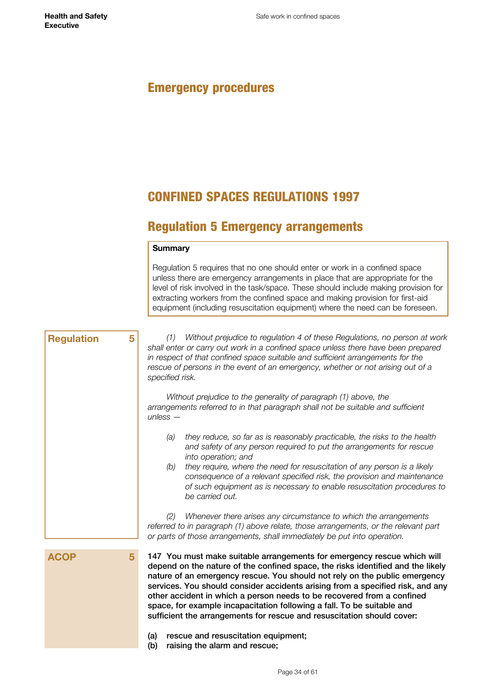### <span id="page-33-0"></span>Emergency procedures

# CONFINED SPACES REGIII ATIONS 1997

### Regulation 5 Emergency arrangements

#### **Summary**

Regulation 5 requires that no one should enter or work in a confined space unless there are emergency arrangements in place that are appropriate for the level of risk involved in the task/space. These should include making provision for extracting workers from the confined space and making provision for first-aid equipment (including resuscitation equipment) where the need can be foreseen.

*(1) Without prejudice to regulation 4 of these Regulations, no person at work shall enter or carry out work in a confined space unless there have been prepared in respect of that confined space suitable and sufficient arrangements for the rescue of persons in the event of an emergency, whether or not arising out of a specified risk. Without prejudice to the generality of paragraph (1) above, the arrangements referred to in that paragraph shall not be suitable and sufficient unless — (a) they reduce, so far as is reasonably practicable, the risks to the health and safety of any person required to put the arrangements for rescue into operation; and (b) they require, where the need for resuscitation of any person is a likely consequence of a relevant specified risk, the provision and maintenance of such equipment as is necessary to enable resuscitation procedures to be carried out. (2) Whenever there arises any circumstance to which the arrangements referred to in paragraph (1) above relate, those arrangements, or the relevant part or parts of those arrangements, shall immediately be put into operation.*  147 You must make suitable arrangements for emergency rescue which will depend on the nature of the confined space, the risks identified and the likely nature of an emergency rescue. You should not rely on the public emergency services. You should consider accidents arising from a specified risk, and any other accident in which a person needs to be recovered from a confined space, for example incapacitation following a fall. To be suitable and sufficient the arrangements for rescue and resuscitation should cover: (a) rescue and resuscitation equipment; **Regulation 5 ACOP 5**

(b) raising the alarm and rescue;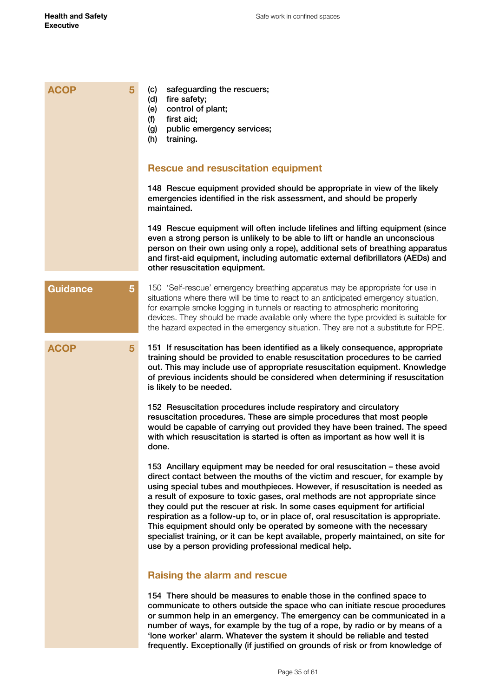| <b>ACOP</b>     | 5 | safeguarding the rescuers;<br>(c)<br>(d)<br>fire safety;<br>control of plant;<br>(e)<br>(f)<br>first aid;<br>(g)<br>public emergency services;<br>(h)<br>training.                                                                                                                                                                                                                                                                                                                                                                                                                                                                                                                                               |
|-----------------|---|------------------------------------------------------------------------------------------------------------------------------------------------------------------------------------------------------------------------------------------------------------------------------------------------------------------------------------------------------------------------------------------------------------------------------------------------------------------------------------------------------------------------------------------------------------------------------------------------------------------------------------------------------------------------------------------------------------------|
|                 |   | <b>Rescue and resuscitation equipment</b><br>148 Rescue equipment provided should be appropriate in view of the likely<br>emergencies identified in the risk assessment, and should be properly<br>maintained.                                                                                                                                                                                                                                                                                                                                                                                                                                                                                                   |
|                 |   | 149 Rescue equipment will often include lifelines and lifting equipment (since<br>even a strong person is unlikely to be able to lift or handle an unconscious<br>person on their own using only a rope), additional sets of breathing apparatus<br>and first-aid equipment, including automatic external defibrillators (AEDs) and<br>other resuscitation equipment.                                                                                                                                                                                                                                                                                                                                            |
| <b>Guidance</b> | 5 | 150 'Self-rescue' emergency breathing apparatus may be appropriate for use in<br>situations where there will be time to react to an anticipated emergency situation,<br>for example smoke logging in tunnels or reacting to atmospheric monitoring<br>devices. They should be made available only where the type provided is suitable for<br>the hazard expected in the emergency situation. They are not a substitute for RPE.                                                                                                                                                                                                                                                                                  |
| <b>ACOP</b>     | 5 | 151 If resuscitation has been identified as a likely consequence, appropriate<br>training should be provided to enable resuscitation procedures to be carried<br>out. This may include use of appropriate resuscitation equipment. Knowledge<br>of previous incidents should be considered when determining if resuscitation<br>is likely to be needed.                                                                                                                                                                                                                                                                                                                                                          |
|                 |   | 152 Resuscitation procedures include respiratory and circulatory<br>resuscitation procedures. These are simple procedures that most people<br>would be capable of carrying out provided they have been trained. The speed<br>with which resuscitation is started is often as important as how well it is<br>done.                                                                                                                                                                                                                                                                                                                                                                                                |
|                 |   | 153 Ancillary equipment may be needed for oral resuscitation – these avoid<br>direct contact between the mouths of the victim and rescuer, for example by<br>using special tubes and mouthpieces. However, if resuscitation is needed as<br>a result of exposure to toxic gases, oral methods are not appropriate since<br>they could put the rescuer at risk. In some cases equipment for artificial<br>respiration as a follow-up to, or in place of, oral resuscitation is appropriate.<br>This equipment should only be operated by someone with the necessary<br>specialist training, or it can be kept available, properly maintained, on site for<br>use by a person providing professional medical help. |
|                 |   | <b>Raising the alarm and rescue</b><br>154 There should be measures to enable those in the confined space to<br>communicate to others outside the space who can initiate rescue procedures<br>or summon help in an emergency. The emergency can be communicated in a<br>number of ways, for example by the tug of a rope, by radio or by means of a<br>'lone worker' alarm. Whatever the system it should be reliable and tested                                                                                                                                                                                                                                                                                 |

frequently. Exceptionally (if justified on grounds of risk or from knowledge of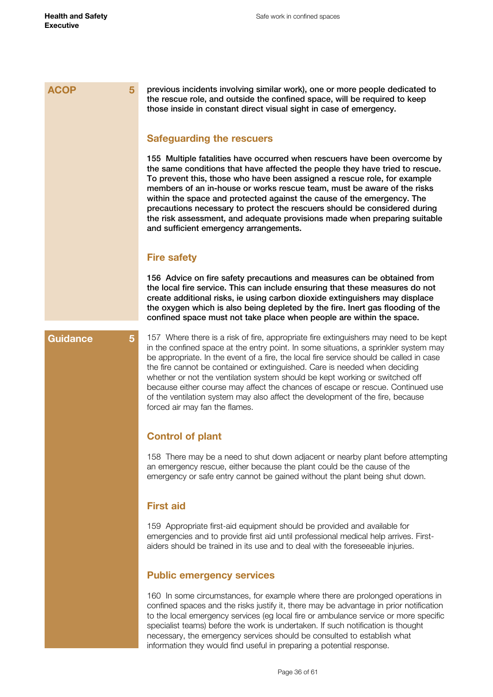previous incidents involving similar work), one or more people dedicated to the rescue role, and outside the confined space, will be required to keep those inside in constant direct visual sight in case of emergency. **Safeguarding the rescuers**  155 Multiple fatalities have occurred when rescuers have been overcome by the same conditions that have affected the people they have tried to rescue. To prevent this, those who have been assigned a rescue role, for example members of an in-house or works rescue team, must be aware of the risks within the space and protected against the cause of the emergency. The precautions necessary to protect the rescuers should be considered during the risk assessment, and adequate provisions made when preparing suitable and sufficient emergency arrangements. **Fire safety**  156 Advice on fire safety precautions and measures can be obtained from the local fire service. This can include ensuring that these measures do not create additional risks, ie using carbon dioxide extinguishers may displace the oxygen which is also being depleted by the fire. Inert gas flooding of the confined space must not take place when people are within the space. 157 Where there is a risk of fire, appropriate fire extinguishers may need to be kept in the confined space at the entry point. In some situations, a sprinkler system may be appropriate. In the event of a fire, the local fire service should be called in case the fire cannot be contained or extinguished. Care is needed when deciding whether or not the ventilation system should be kept working or switched off because either course may affect the chances of escape or rescue. Continued use of the ventilation system may also affect the development of the fire, because forced air may fan the flames. **Control of plant**  158 There may be a need to shut down adjacent or nearby plant before attempting an emergency rescue, either because the plant could be the cause of the emergency or safe entry cannot be gained without the plant being shut down. **First aid**  159 Appropriate first-aid equipment should be provided and available for emergencies and to provide first aid until professional medical help arrives. Firstaiders should be trained in its use and to deal with the foreseeable injuries. **Public emergency services** 160 In some circumstances, for example where there are prolonged operations in confined spaces and the risks justify it, there may be advantage in prior notification to the local emergency services (eg local fire or ambulance service or more specific specialist teams) before the work is undertaken. If such notification is thought necessary, the emergency services should be consulted to establish what information they would find useful in preparing a potential response. **Guidance 5 ACOP 5**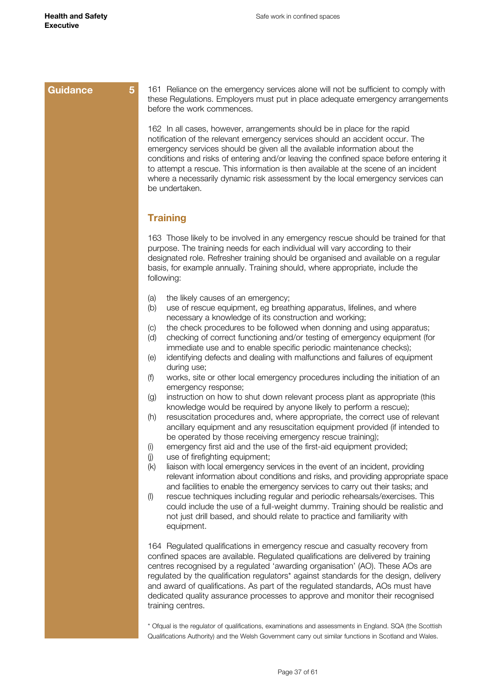| 5<br><b>Guidance</b> | 161 Reliance on the emergency services alone will not be sufficient to comply with<br>these Regulations. Employers must put in place adequate emergency arrangements<br>before the work commences.                                                                                                                                                                                                                                                                                                                                                                                                                                                                                                                                                                                                                                                                                                                                                                                                                                                                                                                                                                                                                                                                                                                                                                                                                                                                                                                                                                                                                                                                                                                                  |
|----------------------|-------------------------------------------------------------------------------------------------------------------------------------------------------------------------------------------------------------------------------------------------------------------------------------------------------------------------------------------------------------------------------------------------------------------------------------------------------------------------------------------------------------------------------------------------------------------------------------------------------------------------------------------------------------------------------------------------------------------------------------------------------------------------------------------------------------------------------------------------------------------------------------------------------------------------------------------------------------------------------------------------------------------------------------------------------------------------------------------------------------------------------------------------------------------------------------------------------------------------------------------------------------------------------------------------------------------------------------------------------------------------------------------------------------------------------------------------------------------------------------------------------------------------------------------------------------------------------------------------------------------------------------------------------------------------------------------------------------------------------------|
|                      | 162 In all cases, however, arrangements should be in place for the rapid<br>notification of the relevant emergency services should an accident occur. The<br>emergency services should be given all the available information about the<br>conditions and risks of entering and/or leaving the confined space before entering it<br>to attempt a rescue. This information is then available at the scene of an incident<br>where a necessarily dynamic risk assessment by the local emergency services can<br>be undertaken.                                                                                                                                                                                                                                                                                                                                                                                                                                                                                                                                                                                                                                                                                                                                                                                                                                                                                                                                                                                                                                                                                                                                                                                                        |
|                      | <b>Training</b>                                                                                                                                                                                                                                                                                                                                                                                                                                                                                                                                                                                                                                                                                                                                                                                                                                                                                                                                                                                                                                                                                                                                                                                                                                                                                                                                                                                                                                                                                                                                                                                                                                                                                                                     |
|                      | 163 Those likely to be involved in any emergency rescue should be trained for that<br>purpose. The training needs for each individual will vary according to their<br>designated role. Refresher training should be organised and available on a regular<br>basis, for example annually. Training should, where appropriate, include the<br>following:                                                                                                                                                                                                                                                                                                                                                                                                                                                                                                                                                                                                                                                                                                                                                                                                                                                                                                                                                                                                                                                                                                                                                                                                                                                                                                                                                                              |
|                      | (a)<br>the likely causes of an emergency;<br>use of rescue equipment, eg breathing apparatus, lifelines, and where<br>(b)<br>necessary a knowledge of its construction and working;<br>the check procedures to be followed when donning and using apparatus;<br>$\left( \circ \right)$<br>checking of correct functioning and/or testing of emergency equipment (for<br>(d)<br>immediate use and to enable specific periodic maintenance checks);<br>identifying defects and dealing with malfunctions and failures of equipment<br>(e)<br>during use;<br>(f)<br>works, site or other local emergency procedures including the initiation of an<br>emergency response;<br>instruction on how to shut down relevant process plant as appropriate (this<br>(g)<br>knowledge would be required by anyone likely to perform a rescue);<br>resuscitation procedures and, where appropriate, the correct use of relevant<br>(h)<br>ancillary equipment and any resuscitation equipment provided (if intended to<br>be operated by those receiving emergency rescue training);<br>emergency first aid and the use of the first-aid equipment provided;<br>(i)<br>(j)<br>use of firefighting equipment;<br>(k)<br>liaison with local emergency services in the event of an incident, providing<br>relevant information about conditions and risks, and providing appropriate space<br>and facilities to enable the emergency services to carry out their tasks; and<br>rescue techniques including regular and periodic rehearsals/exercises. This<br>$($ l $)$<br>could include the use of a full-weight dummy. Training should be realistic and<br>not just drill based, and should relate to practice and familiarity with<br>equipment. |
|                      | 164 Regulated qualifications in emergency rescue and casualty recovery from<br>confined spaces are available. Regulated qualifications are delivered by training<br>centres recognised by a regulated 'awarding organisation' (AO). These AOs are<br>regulated by the qualification regulators <sup>*</sup> against standards for the design, delivery<br>and award of qualifications. As part of the regulated standards, AOs must have<br>dedicated quality assurance processes to approve and monitor their recognised<br>training centres.                                                                                                                                                                                                                                                                                                                                                                                                                                                                                                                                                                                                                                                                                                                                                                                                                                                                                                                                                                                                                                                                                                                                                                                      |

\* Ofqual is the regulator of qualifications, examinations and assessments in England. SQA (the Scottish Qualifications Authority) and the Welsh Government carry out similar functions in Scotland and Wales.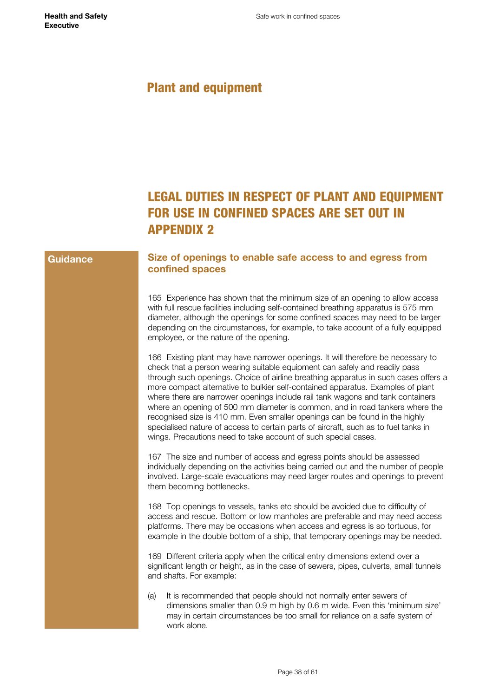### <span id="page-37-0"></span>Plant and equipment

# LEGAL DUTIES IN RESPECT OF PLANT AND EQUIPMENT FOR USE IN CONFINED SPACES ARE SET OUT IN APPENDIX 2

#### **Guidance**

#### **Size of openings to enable safe access to and egress from confined spaces**

165 Experience has shown that the minimum size of an opening to allow access with full rescue facilities including self-contained breathing apparatus is 575 mm diameter, although the openings for some confined spaces may need to be larger depending on the circumstances, for example, to take account of a fully equipped employee, or the nature of the opening.

166 Existing plant may have narrower openings. It will therefore be necessary to check that a person wearing suitable equipment can safely and readily pass through such openings. Choice of airline breathing apparatus in such cases offers a more compact alternative to bulkier self-contained apparatus. Examples of plant where there are narrower openings include rail tank wagons and tank containers where an opening of 500 mm diameter is common, and in road tankers where the recognised size is 410 mm. Even smaller openings can be found in the highly specialised nature of access to certain parts of aircraft, such as to fuel tanks in wings. Precautions need to take account of such special cases.

167 The size and number of access and egress points should be assessed individually depending on the activities being carried out and the number of people involved. Large-scale evacuations may need larger routes and openings to prevent them becoming bottlenecks.

168 Top openings to vessels, tanks etc should be avoided due to difficulty of access and rescue. Bottom or low manholes are preferable and may need access platforms. There may be occasions when access and egress is so tortuous, for example in the double bottom of a ship, that temporary openings may be needed.

169 Different criteria apply when the critical entry dimensions extend over a significant length or height, as in the case of sewers, pipes, culverts, small tunnels and shafts. For example:

(a) It is recommended that people should not normally enter sewers of dimensions smaller than 0.9 m high by 0.6 m wide. Even this 'minimum size' may in certain circumstances be too small for reliance on a safe system of work alone.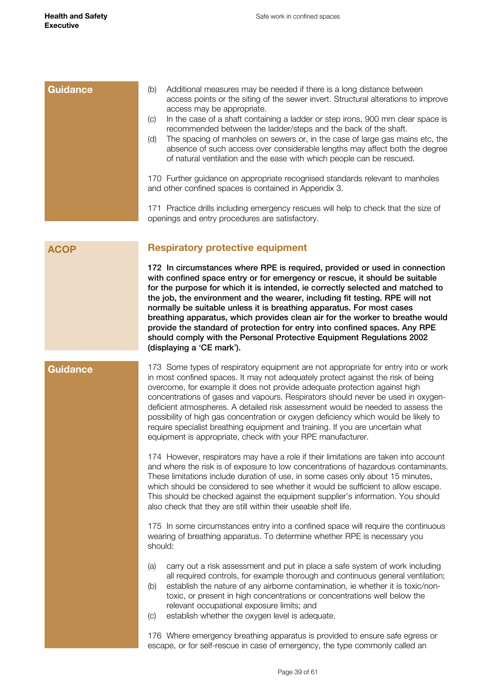| <b>Guidance</b> | Additional measures may be needed if there is a long distance between<br>(b)<br>access points or the siting of the sewer invert. Structural alterations to improve<br>access may be appropriate.<br>In the case of a shaft containing a ladder or step irons, 900 mm clear space is<br>(C)<br>recommended between the ladder/steps and the back of the shaft.<br>The spacing of manholes on sewers or, in the case of large gas mains etc, the<br>(d)<br>absence of such access over considerable lengths may affect both the degree<br>of natural ventilation and the ease with which people can be rescued. |
|-----------------|---------------------------------------------------------------------------------------------------------------------------------------------------------------------------------------------------------------------------------------------------------------------------------------------------------------------------------------------------------------------------------------------------------------------------------------------------------------------------------------------------------------------------------------------------------------------------------------------------------------|
|                 | 170 Further guidance on appropriate recognised standards relevant to manholes<br>and other confined spaces is contained in Appendix 3.                                                                                                                                                                                                                                                                                                                                                                                                                                                                        |
|                 | 171 Practice drills including emergency rescues will help to check that the size of<br>openings and entry procedures are satisfactory.                                                                                                                                                                                                                                                                                                                                                                                                                                                                        |

#### **Respiratory protective equipment**

172 In circumstances where RPE is required, provided or used in connection with confined space entry or for emergency or rescue, it should be suitable for the purpose for which it is intended, ie correctly selected and matched to the job, the environment and the wearer, including fit testing. RPE will not normally be suitable unless it is breathing apparatus. For most cases breathing apparatus, which provides clean air for the worker to breathe would provide the standard of protection for entry into confined spaces. Any RPE should comply with the Personal Protective Equipment Regulations 2002 (displaying a 'CE mark').

#### **Guidance**

**ACOP**

173 Some types of respiratory equipment are not appropriate for entry into or work in most confined spaces. It may not adequately protect against the risk of being overcome, for example it does not provide adequate protection against high concentrations of gases and vapours. Respirators should never be used in oxygendeficient atmospheres. A detailed risk assessment would be needed to assess the possibility of high gas concentration or oxygen deficiency which would be likely to require specialist breathing equipment and training. If you are uncertain what equipment is appropriate, check with your RPE manufacturer.

174 However, respirators may have a role if their limitations are taken into account and where the risk is of exposure to low concentrations of hazardous contaminants. These limitations include duration of use, in some cases only about 15 minutes, which should be considered to see whether it would be sufficient to allow escape. This should be checked against the equipment supplier's information. You should also check that they are still within their useable shelf life.

175 In some circumstances entry into a confined space will require the continuous wearing of breathing apparatus. To determine whether RPE is necessary you should:

- (a) carry out a risk assessment and put in place a safe system of work including all required controls, for example thorough and continuous general ventilation;
- (b) establish the nature of any airborne contamination, ie whether it is toxic/nontoxic, or present in high concentrations or concentrations well below the relevant occupational exposure limits; and
- (c) establish whether the oxygen level is adequate.

176 Where emergency breathing apparatus is provided to ensure safe egress or escape, or for self-rescue in case of emergency, the type commonly called an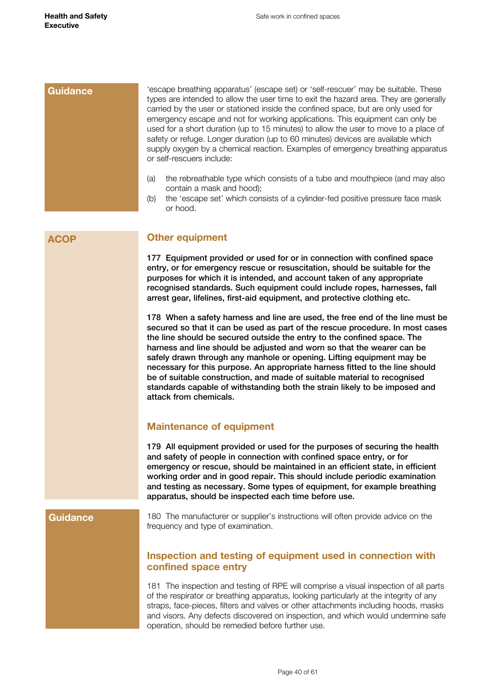#### **Guidance**

'escape breathing apparatus' (escape set) or 'self-rescuer' may be suitable. These types are intended to allow the user time to exit the hazard area. They are generally carried by the user or stationed inside the confined space, but are only used for emergency escape and not for working applications. This equipment can only be used for a short duration (up to 15 minutes) to allow the user to move to a place of safety or refuge. Longer duration (up to 60 minutes) devices are available which supply oxygen by a chemical reaction. Examples of emergency breathing apparatus or self-rescuers include:

- (a) the rebreathable type which consists of a tube and mouthpiece (and may also contain a mask and hood);
- (b) the 'escape set' which consists of a cylinder-fed positive pressure face mask or hood.

#### **ACOP**

#### **Other equipment**

177 Equipment provided or used for or in connection with confined space entry, or for emergency rescue or resuscitation, should be suitable for the purposes for which it is intended, and account taken of any appropriate recognised standards. Such equipment could include ropes, harnesses, fall arrest gear, lifelines, first-aid equipment, and protective clothing etc.

178 When a safety harness and line are used, the free end of the line must be secured so that it can be used as part of the rescue procedure. In most cases the line should be secured outside the entry to the confined space. The harness and line should be adjusted and worn so that the wearer can be safely drawn through any manhole or opening. Lifting equipment may be necessary for this purpose. An appropriate harness fitted to the line should be of suitable construction, and made of suitable material to recognised standards capable of withstanding both the strain likely to be imposed and attack from chemicals.

#### **Maintenance of equipment**

179 All equipment provided or used for the purposes of securing the health and safety of people in connection with confined space entry, or for emergency or rescue, should be maintained in an efficient state, in efficient working order and in good repair. This should include periodic examination and testing as necessary. Some types of equipment, for example breathing apparatus, should be inspected each time before use.

#### **Guidance**

180 The manufacturer or supplier's instructions will often provide advice on the frequency and type of examination.

#### **Inspection and testing of equipment used in connection with confined space entry**

181 The inspection and testing of RPE will comprise a visual inspection of all parts of the respirator or breathing apparatus, looking particularly at the integrity of any straps, face-pieces, filters and valves or other attachments including hoods, masks and visors. Any defects discovered on inspection, and which would undermine safe operation, should be remedied before further use.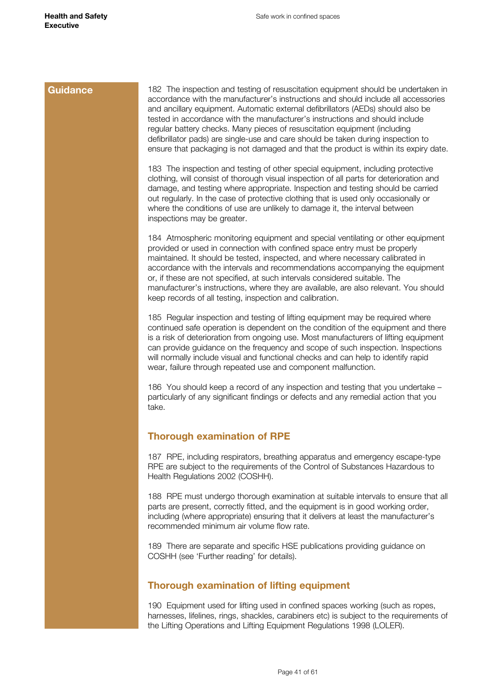#### **Guidance**

182 The inspection and testing of resuscitation equipment should be undertaken in accordance with the manufacturer's instructions and should include all accessories and ancillary equipment. Automatic external defibrillators (AEDs) should also be tested in accordance with the manufacturer's instructions and should include regular battery checks. Many pieces of resuscitation equipment (including defibrillator pads) are single-use and care should be taken during inspection to ensure that packaging is not damaged and that the product is within its expiry date.

183 The inspection and testing of other special equipment, including protective clothing, will consist of thorough visual inspection of all parts for deterioration and damage, and testing where appropriate. Inspection and testing should be carried out regularly. In the case of protective clothing that is used only occasionally or where the conditions of use are unlikely to damage it, the interval between inspections may be greater.

184 Atmospheric monitoring equipment and special ventilating or other equipment provided or used in connection with confined space entry must be properly maintained. It should be tested, inspected, and where necessary calibrated in accordance with the intervals and recommendations accompanying the equipment or, if these are not specified, at such intervals considered suitable. The manufacturer's instructions, where they are available, are also relevant. You should keep records of all testing, inspection and calibration.

185 Regular inspection and testing of lifting equipment may be required where continued safe operation is dependent on the condition of the equipment and there is a risk of deterioration from ongoing use. Most manufacturers of lifting equipment can provide guidance on the frequency and scope of such inspection. Inspections will normally include visual and functional checks and can help to identify rapid wear, failure through repeated use and component malfunction.

186 You should keep a record of any inspection and testing that you undertake – particularly of any significant findings or defects and any remedial action that you take.

#### **Thorough examination of RPE**

187 RPE, including respirators, breathing apparatus and emergency escape-type RPE are subject to the requirements of the Control of Substances Hazardous to Health Regulations 2002 (COSHH).

188 RPE must undergo thorough examination at suitable intervals to ensure that all parts are present, correctly fitted, and the equipment is in good working order, including (where appropriate) ensuring that it delivers at least the manufacturer's recommended minimum air volume flow rate.

189 There are separate and specific HSE publications providing guidance on COSHH (see 'Further reading' for details).

#### **Thorough examination of lifting equipment**

190 Equipment used for lifting used in confined spaces working (such as ropes, harnesses, lifelines, rings, shackles, carabiners etc) is subject to the requirements of the Lifting Operations and Lifting Equipment Regulations 1998 (LOLER).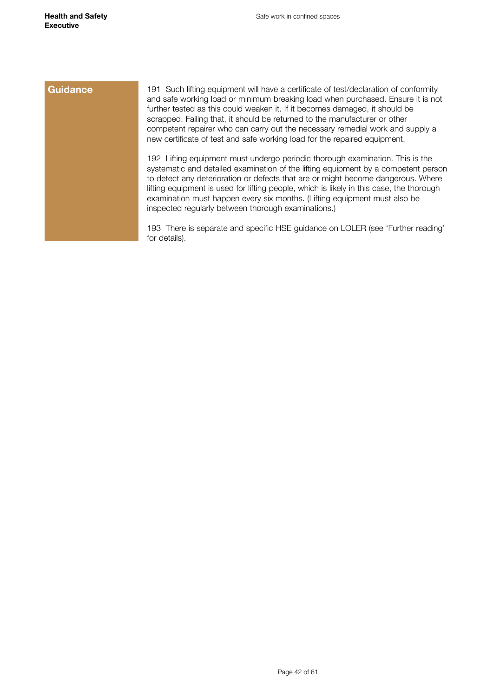| <b>Guidance</b> | 191 Such lifting equipment will have a certificate of test/declaration of conformity<br>and safe working load or minimum breaking load when purchased. Ensure it is not<br>further tested as this could weaken it. If it becomes damaged, it should be<br>scrapped. Failing that, it should be returned to the manufacturer or other<br>competent repairer who can carry out the necessary remedial work and supply a                                                                   |
|-----------------|-----------------------------------------------------------------------------------------------------------------------------------------------------------------------------------------------------------------------------------------------------------------------------------------------------------------------------------------------------------------------------------------------------------------------------------------------------------------------------------------|
|                 | new certificate of test and safe working load for the repaired equipment.                                                                                                                                                                                                                                                                                                                                                                                                               |
|                 | 192 Lifting equipment must undergo periodic thorough examination. This is the<br>systematic and detailed examination of the lifting equipment by a competent person<br>to detect any deterioration or defects that are or might become dangerous. Where<br>lifting equipment is used for lifting people, which is likely in this case, the thorough<br>examination must happen every six months. (Lifting equipment must also be<br>inspected regularly between thorough examinations.) |
|                 | 193 There is separate and specific HSE guidance on LOLER (see 'Further reading'<br>for details).                                                                                                                                                                                                                                                                                                                                                                                        |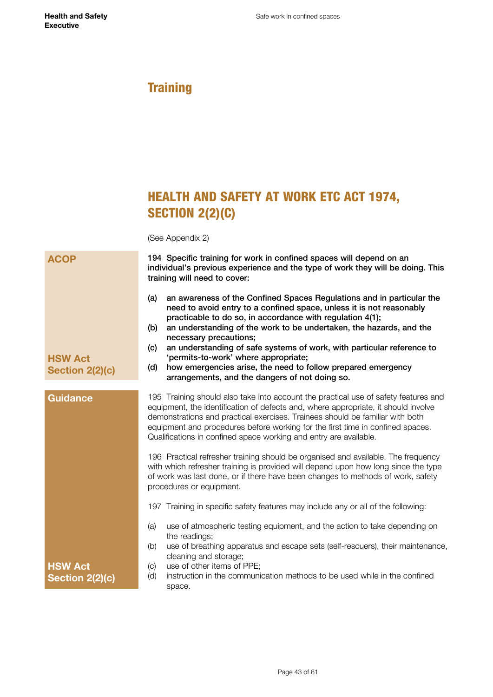# <span id="page-42-0"></span>**Training**

# HEALTH AND SAFETY AT WORK ETC ACT 1974, SECTION 2(2)(C)

(See Appendix 2)

| <b>ACOP</b><br><b>HSW Act</b><br>Section 2(2)(c) | 194 Specific training for work in confined spaces will depend on an<br>individual's previous experience and the type of work they will be doing. This<br>training will need to cover:<br>an awareness of the Confined Spaces Regulations and in particular the<br>(a)<br>need to avoid entry to a confined space, unless it is not reasonably<br>practicable to do so, in accordance with regulation 4(1);<br>an understanding of the work to be undertaken, the hazards, and the<br>(b)<br>necessary precautions;<br>an understanding of safe systems of work, with particular reference to<br>(c)<br>'permits-to-work' where appropriate;<br>how emergencies arise, the need to follow prepared emergency<br>(d)<br>arrangements, and the dangers of not doing so.                                                                                                                                                                                                                                                    |
|--------------------------------------------------|-------------------------------------------------------------------------------------------------------------------------------------------------------------------------------------------------------------------------------------------------------------------------------------------------------------------------------------------------------------------------------------------------------------------------------------------------------------------------------------------------------------------------------------------------------------------------------------------------------------------------------------------------------------------------------------------------------------------------------------------------------------------------------------------------------------------------------------------------------------------------------------------------------------------------------------------------------------------------------------------------------------------------|
| <b>Guidance</b>                                  | 195 Training should also take into account the practical use of safety features and<br>equipment, the identification of defects and, where appropriate, it should involve<br>demonstrations and practical exercises. Trainees should be familiar with both<br>equipment and procedures before working for the first time in confined spaces.<br>Qualifications in confined space working and entry are available.<br>196 Practical refresher training should be organised and available. The frequency<br>with which refresher training is provided will depend upon how long since the type<br>of work was last done, or if there have been changes to methods of work, safety<br>procedures or equipment.<br>197 Training in specific safety features may include any or all of the following:<br>use of atmospheric testing equipment, and the action to take depending on<br>(a)<br>the readings;<br>use of breathing apparatus and escape sets (self-rescuers), their maintenance,<br>(b)<br>cleaning and storage; |
| <b>HSW Act</b><br>Section 2(2)(c)                | use of other items of PPE;<br>(c)<br>instruction in the communication methods to be used while in the confined<br>(d)<br>space.                                                                                                                                                                                                                                                                                                                                                                                                                                                                                                                                                                                                                                                                                                                                                                                                                                                                                         |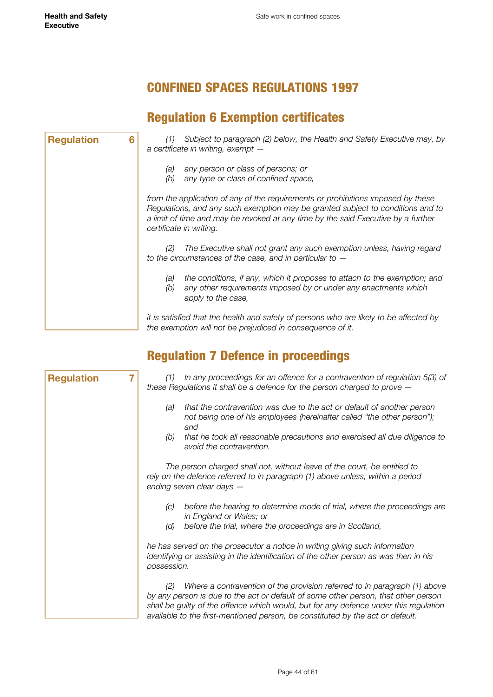### CONFINED SPACES REGULATIONS 1997

# Regulation 6 Exemption certificates

<span id="page-43-0"></span>

| <b>Regulation</b> | Subject to paragraph (2) below, the Health and Safety Executive may, by<br>6<br>a certificate in writing, exempt $-$                                                                                                                                                                |
|-------------------|-------------------------------------------------------------------------------------------------------------------------------------------------------------------------------------------------------------------------------------------------------------------------------------|
|                   | any person or class of persons; or<br>(a)<br>(b)<br>any type or class of confined space,                                                                                                                                                                                            |
|                   | from the application of any of the requirements or prohibitions imposed by these<br>Regulations, and any such exemption may be granted subject to conditions and to<br>a limit of time and may be revoked at any time by the said Executive by a further<br>certificate in writing. |
|                   | The Executive shall not grant any such exemption unless, having regard<br>(2)<br>to the circumstances of the case, and in particular to $-$                                                                                                                                         |
|                   | the conditions, if any, which it proposes to attach to the exemption; and<br>(a)<br>any other requirements imposed by or under any enactments which<br>(b)<br>apply to the case,                                                                                                    |
|                   | it is satisfied that the health and safety of persons who are likely to be affected by<br>the exemption will not be prejudiced in consequence of it.                                                                                                                                |

# Regulation 7 Defence in proceedings

| 7<br><b>Regulation</b> |  | In any proceedings for an offence for a contravention of regulation 5(3) of<br>(1)<br>these Regulations it shall be a defence for the person charged to prove $-$                                                                                                                                                                                 |  |  |
|------------------------|--|---------------------------------------------------------------------------------------------------------------------------------------------------------------------------------------------------------------------------------------------------------------------------------------------------------------------------------------------------|--|--|
|                        |  | that the contravention was due to the act or default of another person<br>(a)<br>not being one of his employees (hereinafter called "the other person");<br>and                                                                                                                                                                                   |  |  |
|                        |  | that he took all reasonable precautions and exercised all due diligence to<br>(b)<br>avoid the contravention.                                                                                                                                                                                                                                     |  |  |
|                        |  | The person charged shall not, without leave of the court, be entitled to<br>rely on the defence referred to in paragraph (1) above unless, within a period<br>ending seven clear days -                                                                                                                                                           |  |  |
|                        |  | before the hearing to determine mode of trial, where the proceedings are<br>(C)<br>in England or Wales; or<br>before the trial, where the proceedings are in Scotland,<br>(d)                                                                                                                                                                     |  |  |
|                        |  | he has served on the prosecutor a notice in writing giving such information<br>identifying or assisting in the identification of the other person as was then in his<br>possession.                                                                                                                                                               |  |  |
|                        |  | Where a contravention of the provision referred to in paragraph (1) above<br>(2)<br>by any person is due to the act or default of some other person, that other person<br>shall be guilty of the offence which would, but for any defence under this regulation<br>available to the first-mentioned person, be constituted by the act or default. |  |  |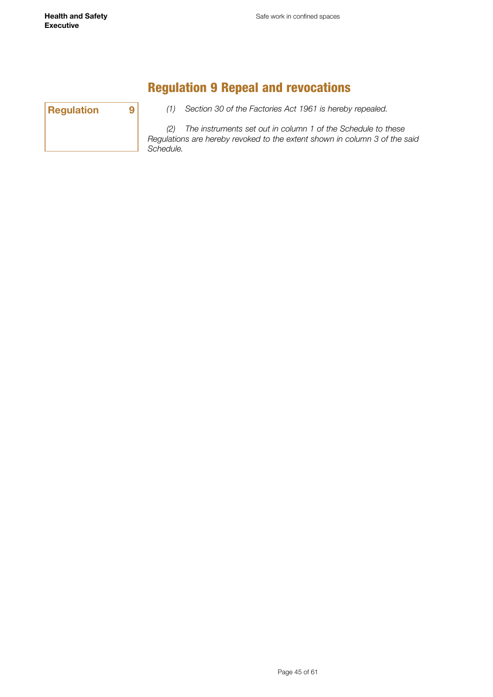# <span id="page-44-0"></span>**Regulation 9**

*(1) Section 30 of the Factories Act 1961 is hereby repealed.*

Regulation 9 Repeal and revocations

*(2) The instruments set out in column 1 of the Schedule to these Regulations are hereby revoked to the extent shown in column 3 of the said Schedule.*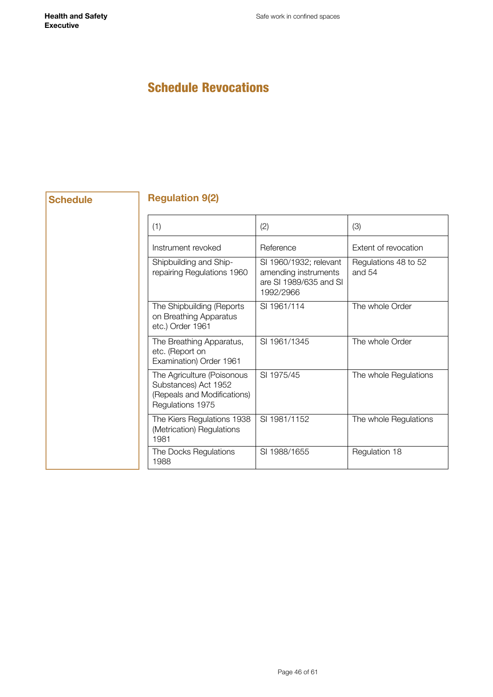### <span id="page-45-0"></span>Schedule Revocations

| cneaul |  |
|--------|--|
|--------|--|

### **Regulation 9(2)**

| (1)                                                                                                   | (2)                                                                                   | (3)                            |
|-------------------------------------------------------------------------------------------------------|---------------------------------------------------------------------------------------|--------------------------------|
| Instrument revoked                                                                                    | Reference                                                                             | Extent of revocation           |
| Shipbuilding and Ship-<br>repairing Regulations 1960                                                  | SI 1960/1932; relevant<br>amending instruments<br>are SI 1989/635 and SI<br>1992/2966 | Regulations 48 to 52<br>and 54 |
| The Shipbuilding (Reports<br>on Breathing Apparatus<br>etc.) Order 1961                               | SI 1961/114                                                                           | The whole Order                |
| The Breathing Apparatus,<br>etc. (Report on<br>Examination) Order 1961                                | SI 1961/1345                                                                          | The whole Order                |
| The Agriculture (Poisonous<br>Substances) Act 1952<br>(Repeals and Modifications)<br>Regulations 1975 | SI 1975/45                                                                            | The whole Regulations          |
| The Kiers Regulations 1938<br>(Metrication) Regulations<br>1981                                       | SI 1981/1152                                                                          | The whole Regulations          |
| The Docks Regulations<br>1988                                                                         | SI 1988/1655                                                                          | Regulation 18                  |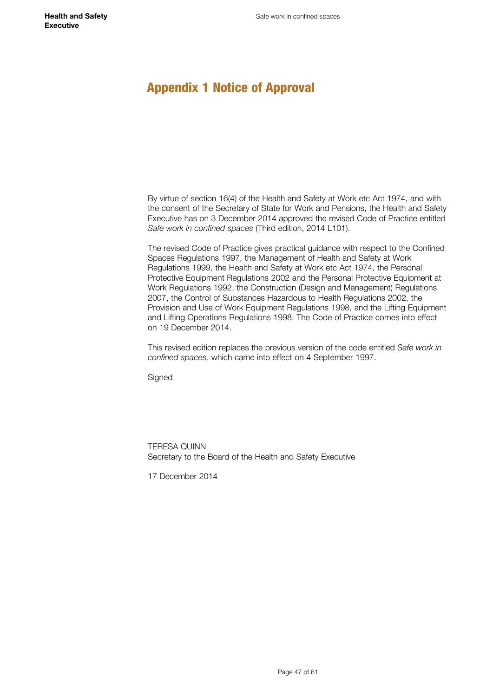### <span id="page-46-0"></span>Appendix 1 Notice of Approval

By virtue of section 16(4) of the Health and Safety at Work etc Act 1974, and with the consent of the Secretary of State for Work and Pensions, the Health and Safety Executive has on 3 December 2014 approved the revised Code of Practice entitled *Safe work in confined spaces* (Third edition, 2014 L101).

The revised Code of Practice gives practical guidance with respect to the Confined Spaces Regulations 1997, the Management of Health and Safety at Work Regulations 1999, the Health and Safety at Work etc Act 1974, the Personal Protective Equipment Regulations 2002 and the Personal Protective Equipment at Work Regulations 1992, the Construction (Design and Management) Regulations 2007, the Control of Substances Hazardous to Health Regulations 2002, the Provision and Use of Work Equipment Regulations 1998, and the Lifting Equipment and Lifting Operations Regulations 1998. The Code of Practice comes into effect on 19 December 2014.

This revised edition replaces the previous version of the code entitled *Safe work in confined spaces,* which came into effect on 4 September 1997.

**Signed** 

TERESA QUINN Secretary to the Board of the Health and Safety Executive

17 December 2014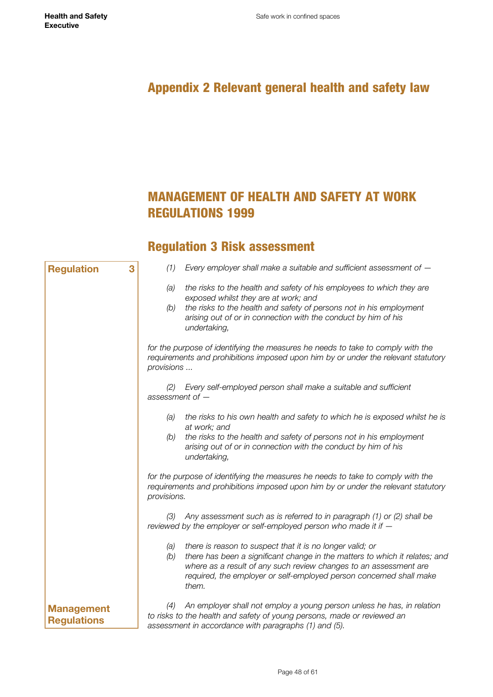# <span id="page-47-0"></span>Appendix 2 Relevant general health and safety law

# MANAGEMENT OF HEALTH AND SAFETY AT WORK REGULATIONS 1999

# Regulation 3 Risk assessment

| <b>Regulation</b>                       | 3 | Every employer shall make a suitable and sufficient assessment of -<br>(1)                                                                                                                                                                                                                                                                                                                                                                                   |
|-----------------------------------------|---|--------------------------------------------------------------------------------------------------------------------------------------------------------------------------------------------------------------------------------------------------------------------------------------------------------------------------------------------------------------------------------------------------------------------------------------------------------------|
|                                         |   | the risks to the health and safety of his employees to which they are<br>(a)<br>exposed whilst they are at work; and<br>the risks to the health and safety of persons not in his employment<br>(b)<br>arising out of or in connection with the conduct by him of his<br>undertaking,<br>for the purpose of identifying the measures he needs to take to comply with the<br>requirements and prohibitions imposed upon him by or under the relevant statutory |
|                                         |   | provisions                                                                                                                                                                                                                                                                                                                                                                                                                                                   |
|                                         |   | Every self-employed person shall make a suitable and sufficient<br>(2)<br>assessment of $-$                                                                                                                                                                                                                                                                                                                                                                  |
|                                         |   | the risks to his own health and safety to which he is exposed whilst he is<br>(a)<br>at work; and<br>the risks to the health and safety of persons not in his employment<br>(b)<br>arising out of or in connection with the conduct by him of his<br>undertaking,                                                                                                                                                                                            |
|                                         |   | for the purpose of identifying the measures he needs to take to comply with the<br>requirements and prohibitions imposed upon him by or under the relevant statutory<br>provisions.                                                                                                                                                                                                                                                                          |
|                                         |   | (3) Any assessment such as is referred to in paragraph (1) or (2) shall be<br>reviewed by the employer or self-employed person who made it if -                                                                                                                                                                                                                                                                                                              |
|                                         |   | there is reason to suspect that it is no longer valid; or<br>(a)<br>there has been a significant change in the matters to which it relates; and<br>(b)<br>where as a result of any such review changes to an assessment are<br>required, the employer or self-employed person concerned shall make<br>them.                                                                                                                                                  |
| <b>Management</b><br><b>Regulations</b> |   | An employer shall not employ a young person unless he has, in relation<br>(4)<br>to risks to the health and safety of young persons, made or reviewed an<br>assessment in accordance with paragraphs (1) and (5).                                                                                                                                                                                                                                            |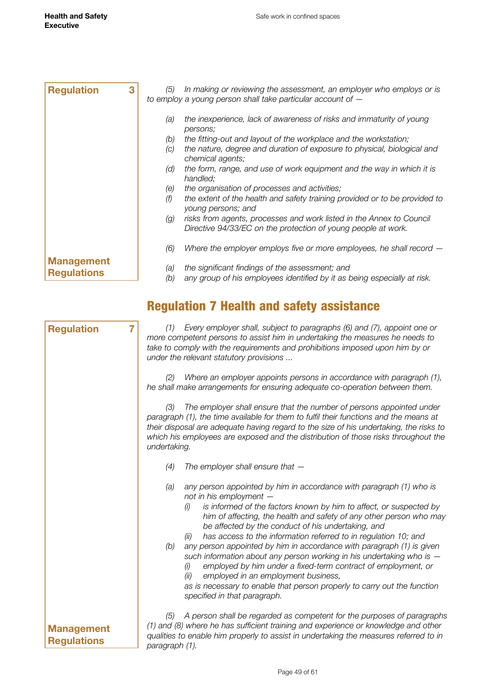| 3<br><b>Regulation</b>                  | (5)        | In making or reviewing the assessment, an employer who employs or is<br>to employ a young person shall take particular account of $-$                           |
|-----------------------------------------|------------|-----------------------------------------------------------------------------------------------------------------------------------------------------------------|
|                                         | (a)        | the inexperience, lack of awareness of risks and immaturity of young<br>persons;                                                                                |
|                                         | (b)<br>(C) | the fitting-out and layout of the workplace and the workstation;<br>the nature, degree and duration of exposure to physical, biological and<br>chemical agents; |
|                                         | (d)        | the form, range, and use of work equipment and the way in which it is<br>handled;                                                                               |
|                                         | (e)<br>(f) | the organisation of processes and activities;<br>the extent of the health and safety training provided or to be provided to<br>young persons; and               |
|                                         | (g)        | risks from agents, processes and work listed in the Annex to Council<br>Directive 94/33/EC on the protection of young people at work.                           |
|                                         | (6)        | Where the employer employs five or more employees, he shall record $-$                                                                                          |
| <b>Management</b><br><b>Regulations</b> | (a)<br>(b) | the significant findings of the assessment; and<br>any group of his employees identified by it as being especially at risk.                                     |

# Regulation 7 Health and safety assistance

| $\overline{7}$<br><b>Regulation</b>     | Every employer shall, subject to paragraphs (6) and (7), appoint one or<br>(1)<br>more competent persons to assist him in undertaking the measures he needs to<br>take to comply with the requirements and prohibitions imposed upon him by or<br>under the relevant statutory provisions<br>Where an employer appoints persons in accordance with paragraph (1),<br>(2)<br>he shall make arrangements for ensuring adequate co-operation between them.<br>The employer shall ensure that the number of persons appointed under<br>(3)<br>paragraph (1), the time available for them to fulfil their functions and the means at<br>their disposal are adequate having regard to the size of his undertaking, the risks to<br>which his employees are exposed and the distribution of those risks throughout the<br>undertaking.     |
|-----------------------------------------|-------------------------------------------------------------------------------------------------------------------------------------------------------------------------------------------------------------------------------------------------------------------------------------------------------------------------------------------------------------------------------------------------------------------------------------------------------------------------------------------------------------------------------------------------------------------------------------------------------------------------------------------------------------------------------------------------------------------------------------------------------------------------------------------------------------------------------------|
|                                         | The employer shall ensure that $-$<br>(4)<br>any person appointed by him in accordance with paragraph (1) who is<br>(a)<br>not in his employment -<br>is informed of the factors known by him to affect, or suspected by<br>(i)<br>him of affecting, the health and safety of any other person who may<br>be affected by the conduct of his undertaking, and<br>has access to the information referred to in regulation 10; and<br>(ii)<br>(b)<br>any person appointed by him in accordance with paragraph (1) is given<br>such information about any person working in his undertaking who is -<br>employed by him under a fixed-term contract of employment, or<br>(i)<br>employed in an employment business,<br>(ii)<br>as is necessary to enable that person properly to carry out the function<br>specified in that paragraph. |
| <b>Management</b><br><b>Regulations</b> | A person shall be regarded as competent for the purposes of paragraphs<br>(5)<br>(1) and (8) where he has sufficient training and experience or knowledge and other<br>qualities to enable him properly to assist in undertaking the measures referred to in<br>paragraph (1).                                                                                                                                                                                                                                                                                                                                                                                                                                                                                                                                                      |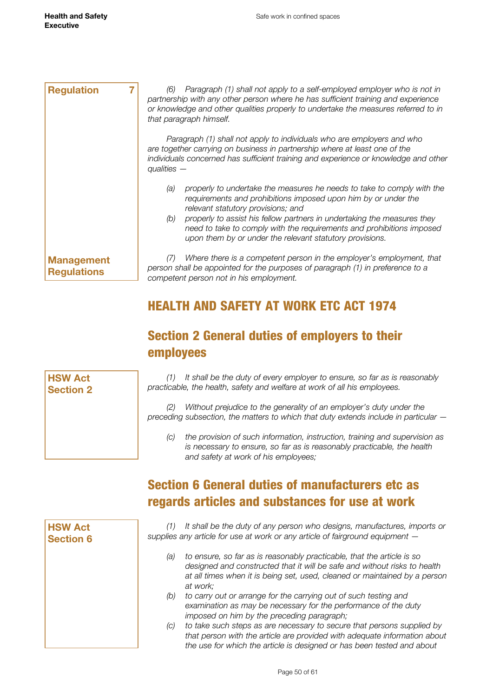**Regulation 7**

*(6) Paragraph (1) shall not apply to a self-employed employer who is not in partnership with any other person where he has sufficient training and experience or knowledge and other qualities properly to undertake the measures referred to in that paragraph himself.*

*Paragraph (1) shall not apply to individuals who are employers and who are together carrying on business in partnership where at least one of the individuals concerned has sufficient training and experience or knowledge and other qualities —*

- *(a) properly to undertake the measures he needs to take to comply with the requirements and prohibitions imposed upon him by or under the relevant statutory provisions; and*
- *(b) properly to assist his fellow partners in undertaking the measures they need to take to comply with the requirements and prohibitions imposed upon them by or under the relevant statutory provisions.*

**Management Regulations**

*(7) Where there is a competent person in the employer's employment, that person shall be appointed for the purposes of paragraph (1) in preference to a competent person not in his employment.*

# HEALTH AND SAFFTY AT WORK FTC ACT 1974

# Section 2 General duties of employers to their employees

*(1) It shall be the duty of every employer to ensure, so far as is reasonably practicable, the health, safety and welfare at work of all his employees.*

*(2) Without prejudice to the generality of an employer's duty under the preceding subsection, the matters to which that duty extends include in particular —* 

*(c) the provision of such information, instruction, training and supervision as is necessary to ensure, so far as is reasonably practicable, the health and safety at work of his employees;*

# Section 6 General duties of manufacturers etc as regards articles and substances for use at work

*(1) It shall be the duty of any person who designs, manufactures, imports or supplies any article for use at work or any article of fairground equipment —*

- *(a) to ensure, so far as is reasonably practicable, that the article is so designed and constructed that it will be safe and without risks to health at all times when it is being set, used, cleaned or maintained by a person at work;*
- *(b) to carry out or arrange for the carrying out of such testing and examination as may be necessary for the performance of the duty imposed on him by the preceding paragraph;*
- *(c) to take such steps as are necessary to secure that persons supplied by that person with the article are provided with adequate information about the use for which the article is designed or has been tested and about*

**HSW Act Section 2**

**HSW Act Section 6**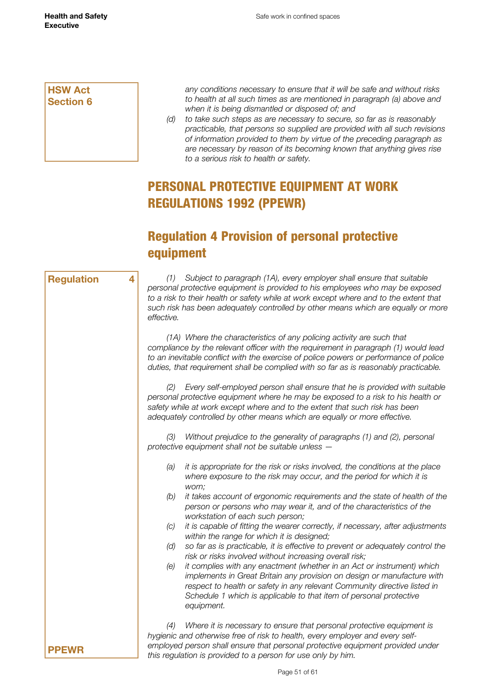| <b>HSW Act</b><br><b>Section 6</b> | (d) | any conditions necessary to ensure that it will be safe and without risks<br>to health at all such times as are mentioned in paragraph (a) above and<br>when it is being dismantled or disposed of; and<br>to take such steps as are necessary to secure, so far as is reasonably<br>practicable, that persons so supplied are provided with all such revisions<br>of information provided to them by virtue of the preceding paragraph as<br>are necessary by reason of its becoming known that anything gives rise |
|------------------------------------|-----|----------------------------------------------------------------------------------------------------------------------------------------------------------------------------------------------------------------------------------------------------------------------------------------------------------------------------------------------------------------------------------------------------------------------------------------------------------------------------------------------------------------------|
|                                    |     | to a serious risk to health or safety.                                                                                                                                                                                                                                                                                                                                                                                                                                                                               |

# PERSONAL PROTECTIVE EQUIPMENT AT WORK REGULATIONS 1992 (PPEWR)

# Regulation 4 Provision of personal protective equipment

|              | personal protective equipment is provided to his employees who may be exposed<br>to a risk to their health or safety while at work except where and to the extent that<br>such risk has been adequately controlled by other means which are equally or more<br>effective.                                                                     |
|--------------|-----------------------------------------------------------------------------------------------------------------------------------------------------------------------------------------------------------------------------------------------------------------------------------------------------------------------------------------------|
|              | (1A) Where the characteristics of any policing activity are such that<br>compliance by the relevant officer with the requirement in paragraph (1) would lead<br>to an inevitable conflict with the exercise of police powers or performance of police<br>duties, that requirement shall be complied with so far as is reasonably practicable. |
|              | Every self-employed person shall ensure that he is provided with suitable<br>(2)<br>personal protective equipment where he may be exposed to a risk to his health or<br>safety while at work except where and to the extent that such risk has been<br>adequately controlled by other means which are equally or more effective.              |
|              | Without prejudice to the generality of paragraphs (1) and (2), personal<br>(3)<br>protective equipment shall not be suitable unless -                                                                                                                                                                                                         |
|              | it is appropriate for the risk or risks involved, the conditions at the place<br>(a)<br>where exposure to the risk may occur, and the period for which it is<br>worn;                                                                                                                                                                         |
|              | (b)<br>it takes account of ergonomic requirements and the state of health of the<br>person or persons who may wear it, and of the characteristics of the<br>workstation of each such person;                                                                                                                                                  |
|              | it is capable of fitting the wearer correctly, if necessary, after adjustments<br>(C)<br>within the range for which it is designed;                                                                                                                                                                                                           |
|              | (d)<br>so far as is practicable, it is effective to prevent or adequately control the<br>risk or risks involved without increasing overall risk;                                                                                                                                                                                              |
|              | it complies with any enactment (whether in an Act or instrument) which<br>(e)<br>implements in Great Britain any provision on design or manufacture with<br>respect to health or safety in any relevant Community directive listed in<br>Schedule 1 which is applicable to that item of personal protective<br>equipment.                     |
| <b>PPEWR</b> | Where it is necessary to ensure that personal protective equipment is<br>(4)<br>hygienic and otherwise free of risk to health, every employer and every self-<br>employed person shall ensure that personal protective equipment provided under<br>this regulation is provided to a person for use only by him.                               |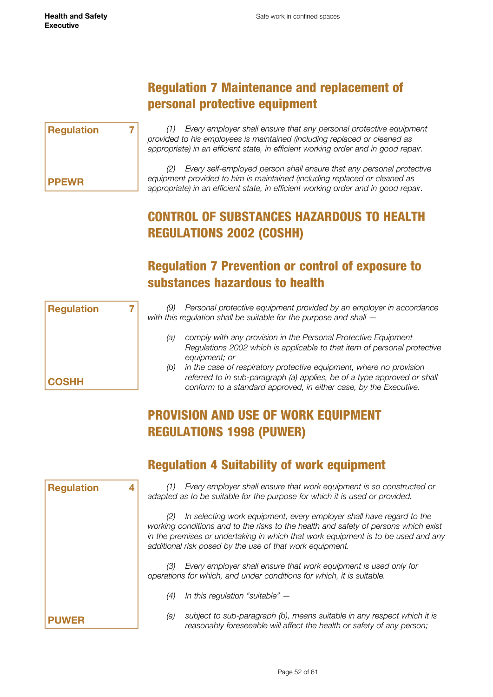# Regulation 7 Maintenance and replacement of personal protective equipment



*(1) Every employer shall ensure that any personal protective equipment provided to his employees is maintained (including replaced or cleaned as appropriate) in an efficient state, in efficient working order and in good repair.*

*(2) Every self-employed person shall ensure that any personal protective equipment provided to him is maintained (including replaced or cleaned as appropriate) in an efficient state, in efficient working order and in good repair.*

# CONTROL OF SUBSTANCES HAZARDOUS TO HEALTH REGULATIONS 2002 (COSHH)

# Regulation 7 Prevention or control of exposure to substances hazardous to health

| <b>Regulation</b> |  |
|-------------------|--|
|                   |  |
|                   |  |
|                   |  |
| <b>COSHH</b>      |  |

*(9) Personal protective equipment provided by an employer in accordance with this regulation shall be suitable for the purpose and shall —*

- *(a) comply with any provision in the Personal Protective Equipment Regulations 2002 which is applicable to that item of personal protective equipment; or*
- *(b) in the case of respiratory protective equipment, where no provision referred to in sub-paragraph (a) applies, be of a type approved or shall conform to a standard approved, in either case, by the Executive.*

# PROVISION AND USE OF WORK EQUIPMENT REGULATIONS 1998 (PUWER)

| <b>Regulation</b><br>4 | Every employer shall ensure that work equipment is so constructed or<br>(1)<br>adapted as to be suitable for the purpose for which it is used or provided.                                                                                                                                                          |
|------------------------|---------------------------------------------------------------------------------------------------------------------------------------------------------------------------------------------------------------------------------------------------------------------------------------------------------------------|
|                        | In selecting work equipment, every employer shall have regard to the<br>(2)<br>working conditions and to the risks to the health and safety of persons which exist<br>in the premises or undertaking in which that work equipment is to be used and any<br>additional risk posed by the use of that work equipment. |
|                        | (3)<br>Every employer shall ensure that work equipment is used only for<br>operations for which, and under conditions for which, it is suitable.                                                                                                                                                                    |
|                        | In this regulation "suitable" $-$<br>(4)                                                                                                                                                                                                                                                                            |
| <b>PUWER</b>           | subject to sub-paragraph (b), means suitable in any respect which it is<br>(a)<br>reasonably foreseeable will affect the health or safety of any person;                                                                                                                                                            |

### Regulation 4 Suitability of work equipment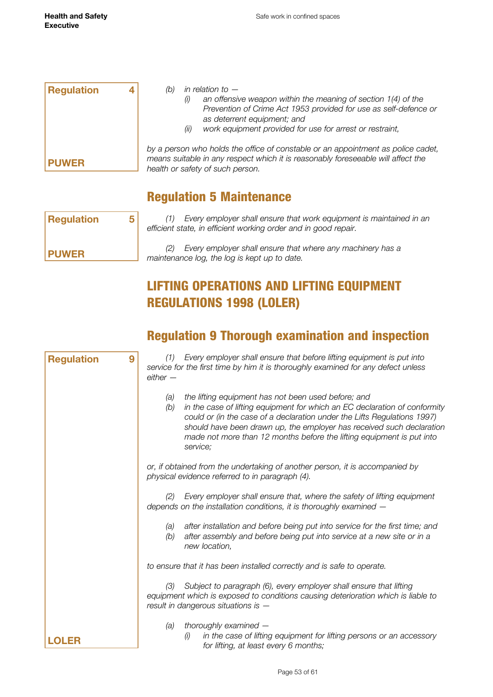| <b>Regulation</b> | in relation to $-$<br>(b)<br>an offensive weapon within the meaning of section 1(4) of the<br>Prevention of Crime Act 1953 provided for use as self-defence or<br>as deterrent equipment; and<br>work equipment provided for use for arrest or restraint,<br>(ii) |
|-------------------|-------------------------------------------------------------------------------------------------------------------------------------------------------------------------------------------------------------------------------------------------------------------|
| <b>PUWER</b>      | by a person who holds the office of constable or an appointment as police cadet,<br>means suitable in any respect which it is reasonably foreseeable will affect the<br>health or safety of such person.                                                          |

# Regulation 5 Maintenance

| <b>Regulation</b> |  |
|-------------------|--|
|                   |  |
| <b>PUWER</b>      |  |

*(1) Every employer shall ensure that work equipment is maintained in an efficient state, in efficient working order and in good repair.*

*(2) Every employer shall ensure that where any machinery has a maintenance log, the log is kept up to date.* 

# LIFTING OPERATIONS AND LIFTING EQUIPMENT REGULATIONS 1998 (LOLER)

### Regulation 9 Thorough examination and inspection

| 9<br><b>Regulation</b> | Every employer shall ensure that before lifting equipment is put into<br>(1)<br>service for the first time by him it is thoroughly examined for any defect unless<br>$e$ <i>ither</i> $-$                                                                                                                                                                                                 |
|------------------------|-------------------------------------------------------------------------------------------------------------------------------------------------------------------------------------------------------------------------------------------------------------------------------------------------------------------------------------------------------------------------------------------|
|                        | the lifting equipment has not been used before; and<br>(a)<br>(b)<br>in the case of lifting equipment for which an EC declaration of conformity<br>could or (in the case of a declaration under the Lifts Regulations 1997)<br>should have been drawn up, the employer has received such declaration<br>made not more than 12 months before the lifting equipment is put into<br>service; |
|                        | or, if obtained from the undertaking of another person, it is accompanied by<br>physical evidence referred to in paragraph (4).                                                                                                                                                                                                                                                           |
|                        | Every employer shall ensure that, where the safety of lifting equipment<br>(2)<br>depends on the installation conditions, it is thoroughly examined $-$                                                                                                                                                                                                                                   |
|                        | after installation and before being put into service for the first time; and<br>(a)<br>(b)<br>after assembly and before being put into service at a new site or in a<br>new location,                                                                                                                                                                                                     |
|                        | to ensure that it has been installed correctly and is safe to operate.                                                                                                                                                                                                                                                                                                                    |
|                        | Subject to paragraph (6), every employer shall ensure that lifting<br>(3)<br>equipment which is exposed to conditions causing deterioration which is liable to<br>result in dangerous situations is $-$                                                                                                                                                                                   |
|                        | thoroughly examined -<br>(a)<br>in the case of lifting equipment for lifting persons or an accessory<br>(i)<br>for lifting, at least every 6 months;                                                                                                                                                                                                                                      |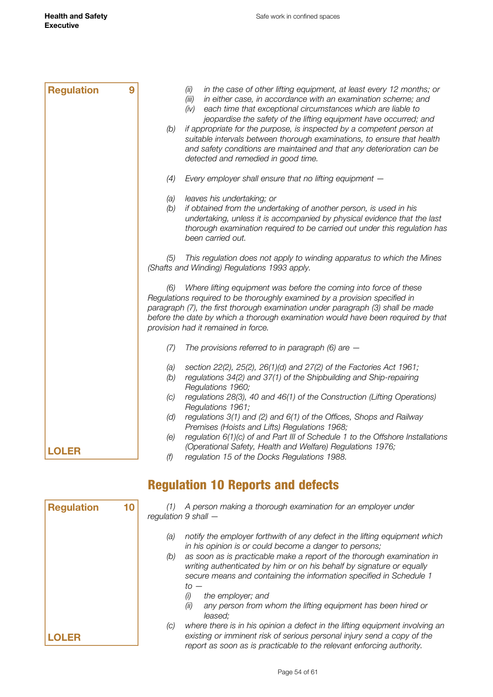| <b>Regulation</b><br>9 | (b)                             | in the case of other lifting equipment, at least every 12 months; or<br>(ii)<br>in either case, in accordance with an examination scheme; and<br>(iii)<br>each time that exceptional circumstances which are liable to<br>(iv)<br>jeopardise the safety of the lifting equipment have occurred; and<br>if appropriate for the purpose, is inspected by a competent person at<br>suitable intervals between thorough examinations, to ensure that health<br>and safety conditions are maintained and that any deterioration can be<br>detected and remedied in good time. |
|------------------------|---------------------------------|--------------------------------------------------------------------------------------------------------------------------------------------------------------------------------------------------------------------------------------------------------------------------------------------------------------------------------------------------------------------------------------------------------------------------------------------------------------------------------------------------------------------------------------------------------------------------|
|                        | (4)                             | Every employer shall ensure that no lifting equipment -                                                                                                                                                                                                                                                                                                                                                                                                                                                                                                                  |
|                        | (a)<br>(b)                      | leaves his undertaking; or<br>if obtained from the undertaking of another person, is used in his<br>undertaking, unless it is accompanied by physical evidence that the last<br>thorough examination required to be carried out under this regulation has<br>been carried out.                                                                                                                                                                                                                                                                                           |
|                        | (5)                             | This regulation does not apply to winding apparatus to which the Mines<br>(Shafts and Winding) Regulations 1993 apply.                                                                                                                                                                                                                                                                                                                                                                                                                                                   |
|                        | (6)                             | Where lifting equipment was before the coming into force of these<br>Regulations required to be thoroughly examined by a provision specified in<br>paragraph (7), the first thorough examination under paragraph (3) shall be made<br>before the date by which a thorough examination would have been required by that<br>provision had it remained in force.                                                                                                                                                                                                            |
|                        | (7)                             | The provisions referred to in paragraph (6) are $-$                                                                                                                                                                                                                                                                                                                                                                                                                                                                                                                      |
|                        | (a)<br>(b)<br>(C)<br>(d)<br>(e) | section 22(2), 25(2), 26(1)(d) and 27(2) of the Factories Act 1961;<br>regulations 34(2) and 37(1) of the Shipbuilding and Ship-repairing<br>Regulations 1960;<br>regulations 28(3), 40 and 46(1) of the Construction (Lifting Operations)<br>Regulations 1961;<br>regulations 3(1) and (2) and 6(1) of the Offices, Shops and Railway<br>Premises (Hoists and Lifts) Regulations 1968;<br>regulation 6(1)(c) of and Part III of Schedule 1 to the Offshore Installations                                                                                                |
| LOLER                  | (f)                             | (Operational Safety, Health and Welfare) Regulations 1976;<br>regulation 15 of the Docks Regulations 1988.                                                                                                                                                                                                                                                                                                                                                                                                                                                               |

# Regulation 10 Reports and defects

| <b>Regulation</b> | 10 | A person making a thorough examination for an employer under<br>regulation $9$ shall $-$                                                                                                                                                                                                                                                                                           |
|-------------------|----|------------------------------------------------------------------------------------------------------------------------------------------------------------------------------------------------------------------------------------------------------------------------------------------------------------------------------------------------------------------------------------|
|                   |    | notify the employer forthwith of any defect in the lifting equipment which<br>(a)<br>in his opinion is or could become a danger to persons;<br>as soon as is practicable make a report of the thorough examination in<br>(b)<br>writing authenticated by him or on his behalf by signature or equally<br>secure means and containing the information specified in Schedule 1<br>to |
|                   |    | the employer; and<br>(i)<br>any person from whom the lifting equipment has been hired or<br>(ii)<br>leased:                                                                                                                                                                                                                                                                        |
| <b>LOLER</b>      |    | where there is in his opinion a defect in the lifting equipment involving an<br>$\left( c\right)$<br>existing or imminent risk of serious personal injury send a copy of the<br>report as soon as is practicable to the relevant enforcing authority.                                                                                                                              |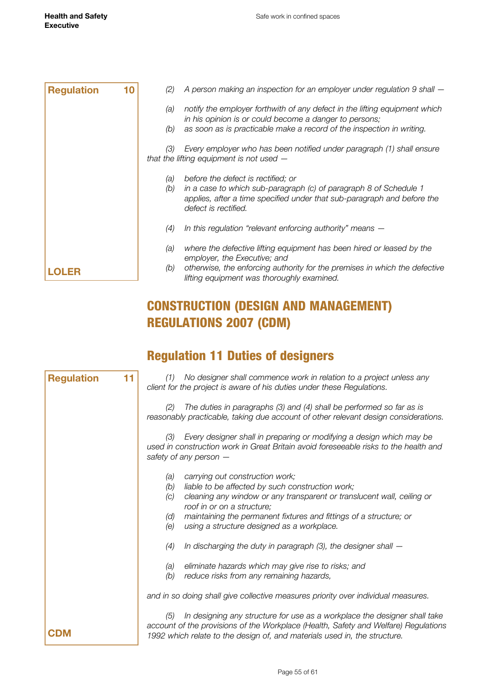| <b>Regulation</b> | 10 | (2)        | A person making an inspection for an employer under regulation $9$ shall $-$                                                                                                                               |
|-------------------|----|------------|------------------------------------------------------------------------------------------------------------------------------------------------------------------------------------------------------------|
|                   |    | (a)        | notify the employer forthwith of any defect in the lifting equipment which<br>in his opinion is or could become a danger to persons;                                                                       |
|                   |    | (b)        | as soon as is practicable make a record of the inspection in writing.                                                                                                                                      |
|                   |    | (3)        | Every employer who has been notified under paragraph (1) shall ensure<br>that the lifting equipment is not used $-$                                                                                        |
|                   |    | (a)<br>(b) | before the defect is rectified; or<br>in a case to which sub-paragraph (c) of paragraph 8 of Schedule 1<br>applies, after a time specified under that sub-paragraph and before the<br>defect is rectified. |
|                   |    | (4)        | In this regulation "relevant enforcing authority" means $-$                                                                                                                                                |
|                   |    | (a)        | where the defective lifting equipment has been hired or leased by the<br>employer, the Executive; and                                                                                                      |
| I OI ER           |    | (b)        | otherwise, the enforcing authority for the premises in which the defective<br>lifting equipment was thoroughly examined.                                                                                   |

# CONSTRUCTION (DESIGN AND MANAGEMENT) REGULATIONS 2007 (CDM)

# Regulation 11 Duties of designers

| <b>Regulation</b> | 11 | No designer shall commence work in relation to a project unless any<br>(1)<br>client for the project is aware of his duties under these Regulations.                                                                                                                                                                                               |
|-------------------|----|----------------------------------------------------------------------------------------------------------------------------------------------------------------------------------------------------------------------------------------------------------------------------------------------------------------------------------------------------|
|                   |    | The duties in paragraphs (3) and (4) shall be performed so far as is<br>(2)<br>reasonably practicable, taking due account of other relevant design considerations.                                                                                                                                                                                 |
|                   |    | Every designer shall in preparing or modifying a design which may be<br>(3)<br>used in construction work in Great Britain avoid foreseeable risks to the health and<br>safety of any person $-$                                                                                                                                                    |
|                   |    | carrying out construction work;<br>(a)<br>(b)<br>liable to be affected by such construction work;<br>cleaning any window or any transparent or translucent wall, ceiling or<br>(C)<br>roof in or on a structure;<br>maintaining the permanent fixtures and fittings of a structure; or<br>(d)<br>using a structure designed as a workplace.<br>(e) |
|                   |    | (4)<br>In discharging the duty in paragraph $(3)$ , the designer shall $-$                                                                                                                                                                                                                                                                         |
|                   |    | eliminate hazards which may give rise to risks; and<br>(a)<br>(b)<br>reduce risks from any remaining hazards,                                                                                                                                                                                                                                      |
|                   |    | and in so doing shall give collective measures priority over individual measures.                                                                                                                                                                                                                                                                  |
| <b>CDM</b>        |    | In designing any structure for use as a workplace the designer shall take<br>(5)<br>account of the provisions of the Workplace (Health, Safety and Welfare) Regulations<br>1992 which relate to the design of, and materials used in, the structure.                                                                                               |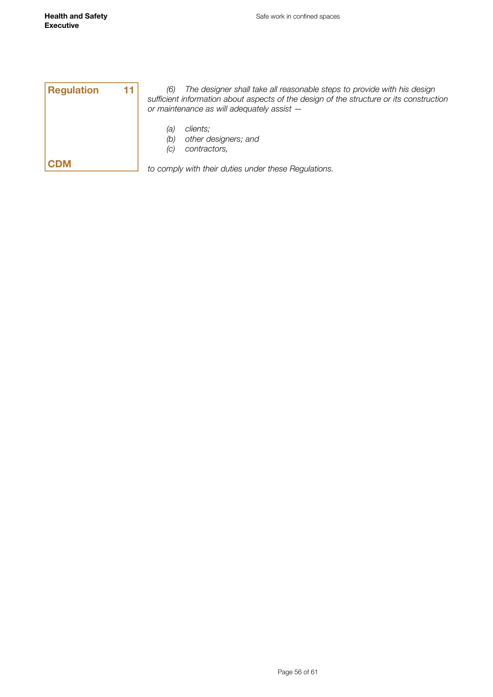| <b>Regulation</b> | The designer shall take all reasonable steps to provide with his design<br>(6)<br>sufficient information about aspects of the design of the structure or its construction<br>or maintenance as will adequately assist $-$ |
|-------------------|---------------------------------------------------------------------------------------------------------------------------------------------------------------------------------------------------------------------------|
|                   | clients:<br>(a<br>other designers; and<br>(b,<br>contractors,<br>(C)                                                                                                                                                      |
| <b>CDM</b>        | to comply with their duties under these Regulations.                                                                                                                                                                      |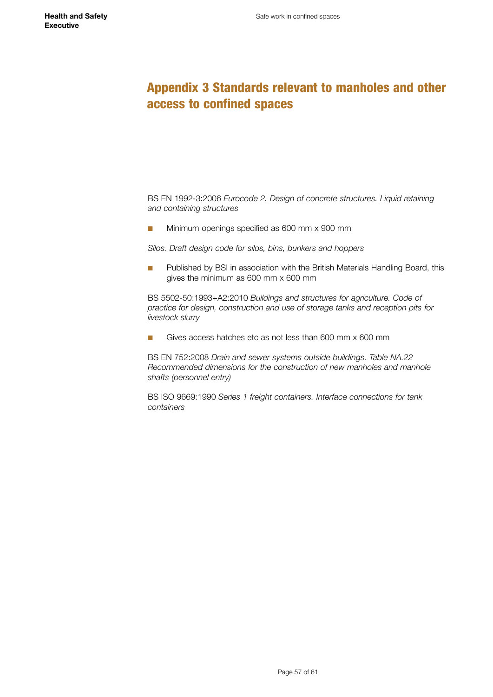### <span id="page-56-0"></span>Appendix 3 Standards relevant to manholes and other access to confined spaces

BS EN 1992-3:2006 *Eurocode 2. Design of concrete structures. Liquid retaining and containing structures*

■ Minimum openings specified as 600 mm x 900 mm

*Silos. Draft design code for silos, bins, bunkers and hoppers*

Published by BSI in association with the British Materials Handling Board, this gives the minimum as 600 mm x 600 mm

BS 5502-50:1993+A2:2010 *Buildings and structures for agriculture. Code of practice for design, construction and use of storage tanks and reception pits for livestock slurry* 

Gives access hatches etc as not less than 600 mm x 600 mm

BS EN 752:2008 *Drain and sewer systems outside buildings. Table NA.22 Recommended dimensions for the construction of new manholes and manhole shafts (personnel entry)*

BS ISO 9669:1990 *Series 1 freight containers. Interface connections for tank containers*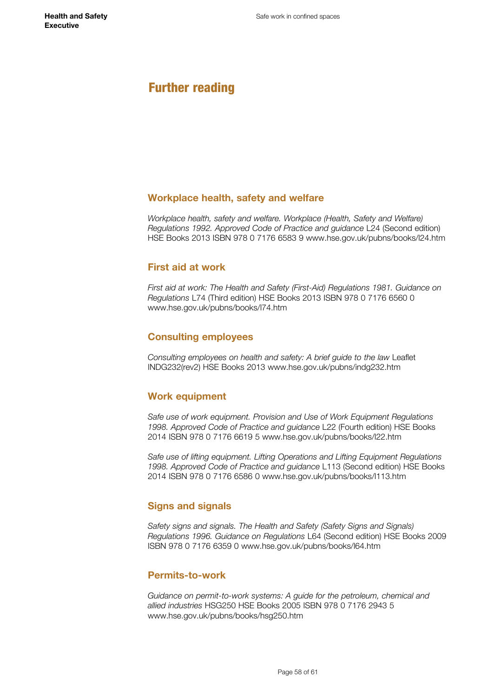### <span id="page-57-0"></span>Further reading

#### **Workplace health, safety and welfare**

*Workplace health, safety and welfare. Workplace (Health, Safety and Welfare) Regulations 1992. Approved Code of Practice and guidance* L24 (Second edition) HSE Books 2013 ISBN 978 0 7176 6583 9 [www.hse.gov.uk/pubns/books/l24.htm](http://www.hse.gov.uk/pubns/books/l24.htm)

#### **First aid at work**

*First aid at work: The Health and Safety (First-Aid) Regulations 1981. Guidance on Regulations* L74 (Third edition) HSE Books 2013 ISBN 978 0 7176 6560 0 [www.hse.gov.uk/pubns/books/l74.htm](http://www.hse.gov.uk/pubns/books/l74.htm)

#### **Consulting employees**

*Consulting employees on health and safety: A brief guide to the law* Leaflet INDG232(rev2) HSE Books 2013 www.hse.gov.uk/pubns/indg232.htm

#### **Work equipment**

*Safe use of work equipment. Provision and Use of Work Equipment Regulations 1998. Approved Code of Practice and guidance* L22 (Fourth edition) HSE Books 2014 ISBN 978 0 7176 6619 5 [www.hse.gov.uk/pubns/books/l22.htm](http://www.hse.gov.uk/pubns/books/l22.htm)

*Safe use of lifting equipment. Lifting Operations and Lifting Equipment Regulations 1998. Approved Code of Practice and guidance* L113 (Second edition) HSE Books 2014 ISBN 978 0 7176 6586 0 www.hse.gov.uk/pubns/books/l113.htm

#### **Signs and signals**

*Safety signs and signals. The Health and Safety (Safety Signs and Signals) Regulations 1996. Guidance on Regulations* L64 (Second edition) HSE Books 2009 ISBN 978 0 7176 6359 0 [www.hse.gov.uk/pubns/books/l64.htm](http://www.hse.gov.uk/pubns/books/l64.htm)

#### **Permits-to-work**

*Guidance on permit-to-work systems: A guide for the petroleum, chemical and allied industries* HSG250 HSE Books 2005 ISBN 978 0 7176 2943 5 [www.hse.gov.uk/pubns/books/hsg250.htm](http://www.hse.gov.uk/pubns/books/hsg250.htm)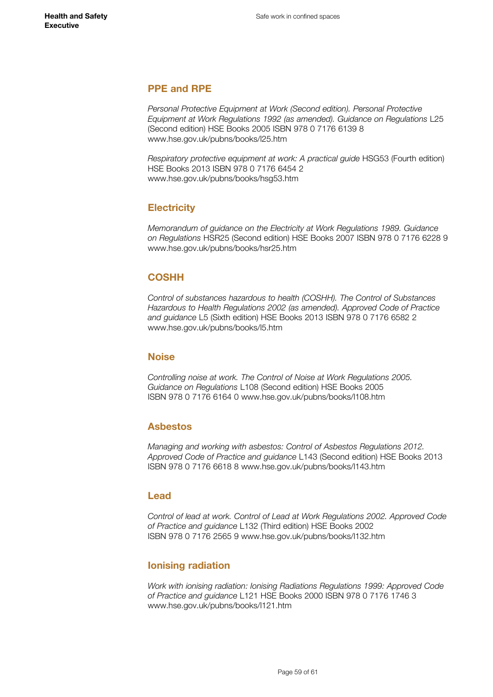#### **PPE and RPE**

*Personal Protective Equipment at Work (Second edition). Personal Protective Equipment at Work Regulations 1992 (as amended). Guidance on Regulations* L25 (Second edition) HSE Books 2005 ISBN 978 0 7176 6139 8 [www.hse.gov.uk/pubns/books/l25.htm](http://www.hse.gov.uk/pubns/books/l25.htm)

*Respiratory protective equipment at work: A practical guide HSG53 (Fourth edition)* HSE Books 2013 ISBN 978 0 7176 6454 2 [www.hse.gov.uk/pubns/books/hsg53.htm](http://www.hse.gov.uk/pubns/books/hsg53.htm)

#### **Electricity**

*Memorandum of guidance on the Electricity at Work Regulations 1989. Guidance on Regulations* HSR25 (Second edition) HSE Books 2007 ISBN 978 0 7176 6228 9 [www.hse.gov.uk/pubns/books/hsr25.htm](http://www.hse.gov.uk/pubns/books/hsr25.htm)

#### **COSHH**

*Control of substances hazardous to health (COSHH). The Control of Substances Hazardous to Health Regulations 2002 (as amended). Approved Code of Practice and guidance* L5 (Sixth edition) HSE Books 2013 ISBN 978 0 7176 6582 2 [www.hse.gov.uk/pubns/books/l5.htm](http://www.hse.gov.uk/pubns/books/l5.htm)

#### **Noise**

*Controlling noise at work. The Control of Noise at Work Regulations 2005. Guidance on Regulations* L108 (Second edition) HSE Books 2005 ISBN 978 0 7176 6164 0 [www.hse.gov.uk/pubns/books/l108.htm](http://www.hse.gov.uk/pubns/books/l108.htm)

#### **Asbestos**

*Managing and working with asbestos: Control of Asbestos Regulations 2012. Approved Code of Practice and guidance* L143 (Second edition) HSE Books 2013 ISBN 978 0 7176 6618 8 [www.hse.gov.uk/pubns/books/l143.htm](http://www.hse.gov.uk/pubns/books/l143.htm)

#### **Lead**

*Control of lead at work. Control of Lead at Work Regulations 2002. Approved Code of Practice and guidance* L132 (Third edition) HSE Books 2002 ISBN 978 0 7176 2565 9 [www.hse.gov.uk/pubns/books/l132.htm](http://www.hse.gov.uk/pubns/books/l132.htm)

#### **Ionising radiation**

*Work with ionising radiation: Ionising Radiations Regulations 1999: Approved Code of Practice and guidance* L121 HSE Books 2000 ISBN 978 0 7176 1746 3 [www.hse.gov.uk/pubns/books/l121.htm](http://www.hse.gov.uk/pubns/books/l121.htm)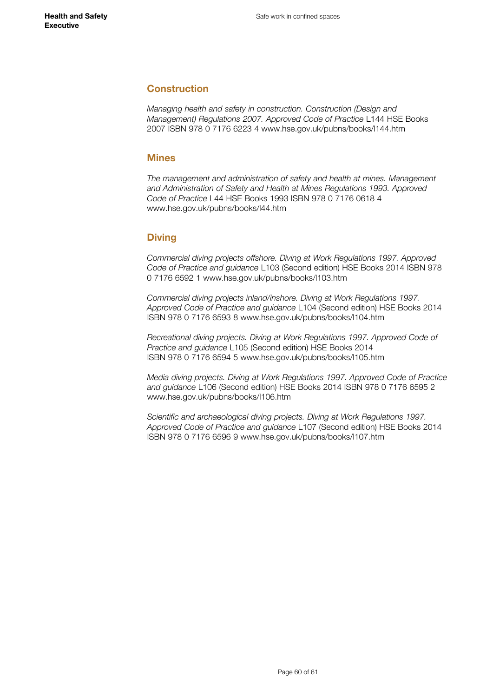#### **Construction**

*Managing health and safety in construction. Construction (Design and Management) Regulations 2007. Approved Code of Practice* L144 HSE Books 2007 ISBN 978 0 7176 6223 4 [www.hse.gov.uk/pubns/books/l144.htm](http://www.hse.gov.uk/pubns/books/l144.htm)

#### **Mines**

*The management and administration of safety and health at mines. Management and Administration of Safety and Health at Mines Regulations 1993. Approved Code of Practice* L44 HSE Books 1993 ISBN 978 0 7176 0618 4 [www.hse.gov.uk/pubns/books/l44.htm](http://www.hse.gov.uk/pubns/books/l44.htm)

#### **Diving**

*Commercial diving projects offshore. Diving at Work Regulations 1997. Approved Code of Practice and guidance* L103 (Second edition) HSE Books 2014 ISBN 978 0 7176 6592 1 [www.hse.gov.uk/pubns/books/l103.htm](http://www.hse.gov.uk/pubns/books/l103.htm)

*Commercial diving projects inland/inshore. Diving at Work Regulations 1997. Approved Code of Practice and guidance* L104 (Second edition) HSE Books 2014 ISBN 978 0 7176 6593 8 [www.hse.gov.uk/pubns/books/l104.htm](http://www.hse.gov.uk/pubns/books/l104.htm)

*Recreational diving projects. Diving at Work Regulations 1997. Approved Code of Practice and guidance* L105 (Second edition) HSE Books 2014 ISBN 978 0 7176 6594 5 [www.hse.gov.uk/pubns/books/l105.htm](http://www.hse.gov.uk/pubns/books/l105.htm)

*Media diving projects. Diving at Work Regulations 1997. Approved Code of Practice and guidance* L106 (Second edition) HSE Books 2014 ISBN 978 0 7176 6595 2 [www.hse.gov.uk/pubns/books/l106.htm](http://www.hse.gov.uk/pubns/books/l106.htm)

*Scientific and archaeological diving projects. Diving at Work Regulations 1997. Approved Code of Practice and guidance* L107 (Second edition) HSE Books 2014 ISBN 978 0 7176 6596 9 www.hse.gov.uk/pubns/books/l107.htm